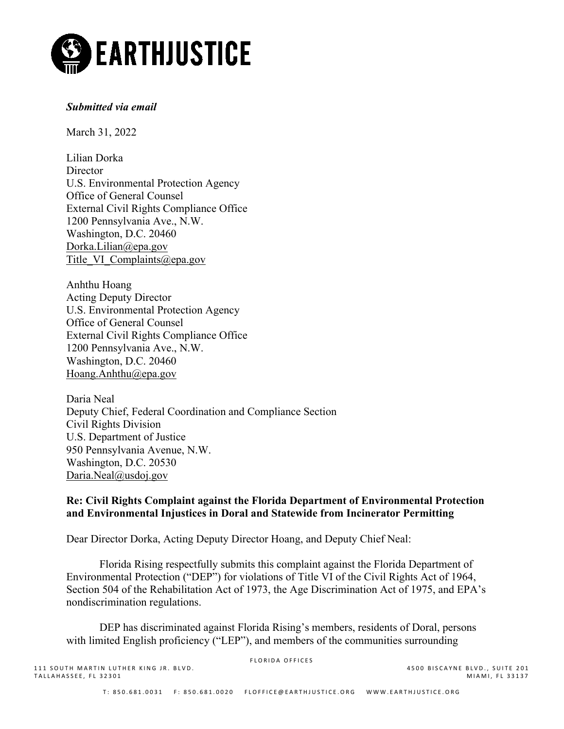

# *Submitted via email*

March 31, 2022

Lilian Dorka **Director** U.S. Environmental Protection Agency Office of General Counsel External Civil Rights Compliance Office 1200 Pennsylvania Ave., N.W. Washington, D.C. 20460 [Dorka.Lilian@epa.gov](mailto:Dorka.Lilian@epa.gov)  Title VI Complaints@epa.gov

Anhthu Hoang Acting Deputy Director U.S. Environmental Protection Agency Office of General Counsel External Civil Rights Compliance Office 1200 Pennsylvania Ave., N.W. Washington, D.C. 20460 [Hoang.Anhthu@epa.gov](mailto:Hoang.Anhthu@epa.gov)

Daria Neal Deputy Chief, Federal Coordination and Compliance Section Civil Rights Division U.S. Department of Justice 950 Pennsylvania Avenue, N.W. Washington, D.C. 20530 [Daria.Neal@usdoj.gov](mailto:Daria.Neal@usdoj.gov)

## **Re: Civil Rights Complaint against the Florida Department of Environmental Protection and Environmental Injustices in Doral and Statewide from Incinerator Permitting**

Dear Director Dorka, Acting Deputy Director Hoang, and Deputy Chief Neal:

Florida Rising respectfully submits this complaint against the Florida Department of Environmental Protection ("DEP") for violations of Title VI of the Civil Rights Act of 1964, Section 504 of the Rehabilitation Act of 1973, the Age Discrimination Act of 1975, and EPA's nondiscrimination regulations.

DEP has discriminated against Florida Rising's members, residents of Doral, persons with limited English proficiency ("LEP"), and members of the communities surrounding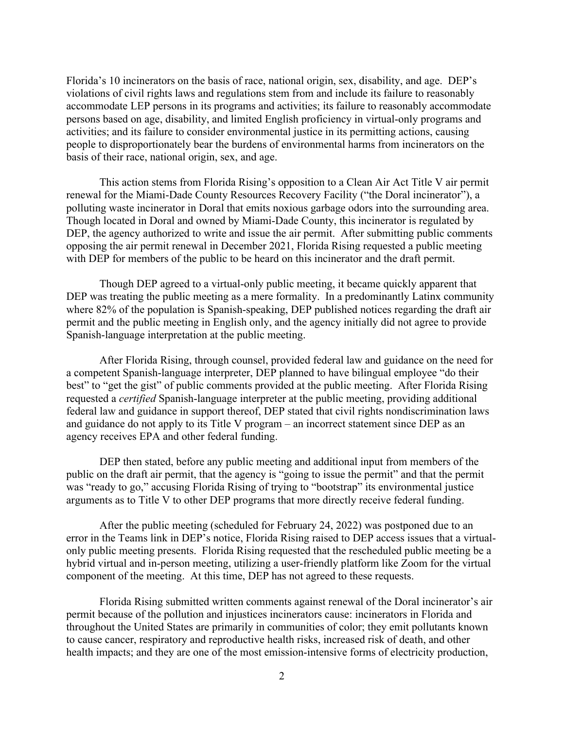Florida's 10 incinerators on the basis of race, national origin, sex, disability, and age. DEP's violations of civil rights laws and regulations stem from and include its failure to reasonably accommodate LEP persons in its programs and activities; its failure to reasonably accommodate persons based on age, disability, and limited English proficiency in virtual-only programs and activities; and its failure to consider environmental justice in its permitting actions, causing people to disproportionately bear the burdens of environmental harms from incinerators on the basis of their race, national origin, sex, and age.

This action stems from Florida Rising's opposition to a Clean Air Act Title V air permit renewal for the Miami-Dade County Resources Recovery Facility ("the Doral incinerator"), a polluting waste incinerator in Doral that emits noxious garbage odors into the surrounding area. Though located in Doral and owned by Miami-Dade County, this incinerator is regulated by DEP, the agency authorized to write and issue the air permit. After submitting public comments opposing the air permit renewal in December 2021, Florida Rising requested a public meeting with DEP for members of the public to be heard on this incinerator and the draft permit.

Though DEP agreed to a virtual-only public meeting, it became quickly apparent that DEP was treating the public meeting as a mere formality. In a predominantly Latinx community where 82% of the population is Spanish-speaking, DEP published notices regarding the draft air permit and the public meeting in English only, and the agency initially did not agree to provide Spanish-language interpretation at the public meeting.

After Florida Rising, through counsel, provided federal law and guidance on the need for a competent Spanish-language interpreter, DEP planned to have bilingual employee "do their best" to "get the gist" of public comments provided at the public meeting. After Florida Rising requested a *certified* Spanish-language interpreter at the public meeting, providing additional federal law and guidance in support thereof, DEP stated that civil rights nondiscrimination laws and guidance do not apply to its Title V program – an incorrect statement since DEP as an agency receives EPA and other federal funding.

DEP then stated, before any public meeting and additional input from members of the public on the draft air permit, that the agency is "going to issue the permit" and that the permit was "ready to go," accusing Florida Rising of trying to "bootstrap" its environmental justice arguments as to Title V to other DEP programs that more directly receive federal funding.

After the public meeting (scheduled for February 24, 2022) was postponed due to an error in the Teams link in DEP's notice, Florida Rising raised to DEP access issues that a virtualonly public meeting presents. Florida Rising requested that the rescheduled public meeting be a hybrid virtual and in-person meeting, utilizing a user-friendly platform like Zoom for the virtual component of the meeting. At this time, DEP has not agreed to these requests.

Florida Rising submitted written comments against renewal of the Doral incinerator's air permit because of the pollution and injustices incinerators cause: incinerators in Florida and throughout the United States are primarily in communities of color; they emit pollutants known to cause cancer, respiratory and reproductive health risks, increased risk of death, and other health impacts; and they are one of the most emission-intensive forms of electricity production,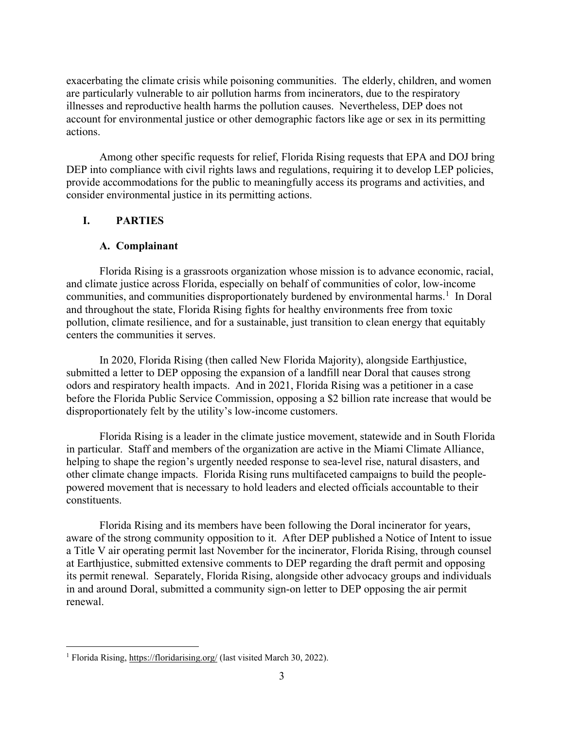exacerbating the climate crisis while poisoning communities. The elderly, children, and women are particularly vulnerable to air pollution harms from incinerators, due to the respiratory illnesses and reproductive health harms the pollution causes. Nevertheless, DEP does not account for environmental justice or other demographic factors like age or sex in its permitting actions.

Among other specific requests for relief, Florida Rising requests that EPA and DOJ bring DEP into compliance with civil rights laws and regulations, requiring it to develop LEP policies, provide accommodations for the public to meaningfully access its programs and activities, and consider environmental justice in its permitting actions.

## **I. PARTIES**

## **A. Complainant**

 Florida Rising is a grassroots organization whose mission is to advance economic, racial, and climate justice across Florida, especially on behalf of communities of color, low-income communities, and communities disproportionately burdened by environmental harms.<sup>[1](#page-2-0)</sup> In Doral and throughout the state, Florida Rising fights for healthy environments free from toxic pollution, climate resilience, and for a sustainable, just transition to clean energy that equitably centers the communities it serves.

In 2020, Florida Rising (then called New Florida Majority), alongside Earthjustice, submitted a letter to DEP opposing the expansion of a landfill near Doral that causes strong odors and respiratory health impacts. And in 2021, Florida Rising was a petitioner in a case before the Florida Public Service Commission, opposing a \$2 billion rate increase that would be disproportionately felt by the utility's low-income customers.

Florida Rising is a leader in the climate justice movement, statewide and in South Florida in particular. Staff and members of the organization are active in the Miami Climate Alliance, helping to shape the region's urgently needed response to sea-level rise, natural disasters, and other climate change impacts. Florida Rising runs multifaceted campaigns to build the peoplepowered movement that is necessary to hold leaders and elected officials accountable to their constituents.

Florida Rising and its members have been following the Doral incinerator for years, aware of the strong community opposition to it. After DEP published a Notice of Intent to issue a Title V air operating permit last November for the incinerator, Florida Rising, through counsel at Earthjustice, submitted extensive comments to DEP regarding the draft permit and opposing its permit renewal. Separately, Florida Rising, alongside other advocacy groups and individuals in and around Doral, submitted a community sign-on letter to DEP opposing the air permit renewal.

<span id="page-2-0"></span><sup>&</sup>lt;sup>1</sup> Florida Rising,<https://floridarising.org/> (last visited March 30, 2022).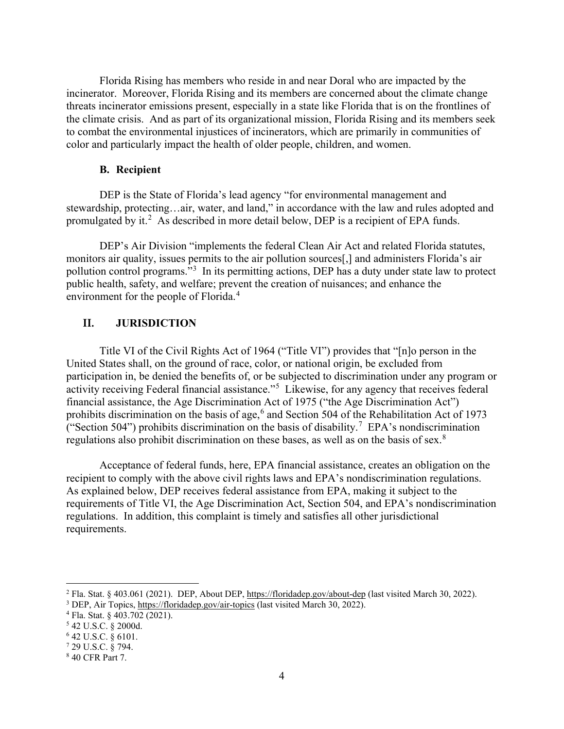Florida Rising has members who reside in and near Doral who are impacted by the incinerator. Moreover, Florida Rising and its members are concerned about the climate change threats incinerator emissions present, especially in a state like Florida that is on the frontlines of the climate crisis. And as part of its organizational mission, Florida Rising and its members seek to combat the environmental injustices of incinerators, which are primarily in communities of color and particularly impact the health of older people, children, and women.

### **B. Recipient**

DEP is the State of Florida's lead agency "for environmental management and stewardship, protecting…air, water, and land," in accordance with the law and rules adopted and promulgated by it.<sup>[2](#page-3-0)</sup> As described in more detail below, DEP is a recipient of EPA funds.

DEP's Air Division "implements the federal Clean Air Act and related Florida statutes, monitors air quality, issues permits to the air pollution sources[,] and administers Florida's air pollution control programs."<sup>[3](#page-3-1)</sup> In its permitting actions, DEP has a duty under state law to protect public health, safety, and welfare; prevent the creation of nuisances; and enhance the environment for the people of Florida.<sup>[4](#page-3-2)</sup>

### **II. JURISDICTION**

Title VI of the Civil Rights Act of 1964 ("Title VI") provides that "[n]o person in the United States shall, on the ground of race, color, or national origin, be excluded from participation in, be denied the benefits of, or be subjected to discrimination under any program or activity receiving Federal financial assistance."[5](#page-3-3) Likewise, for any agency that receives federal financial assistance, the Age Discrimination Act of 1975 ("the Age Discrimination Act") prohibits discrimination on the basis of age,<sup>[6](#page-3-4)</sup> and Section 504 of the Rehabilitation Act of 1973 ("Section 504") prohibits discrimination on the basis of disability.<sup>[7](#page-3-5)</sup> EPA's nondiscrimination regulations also prohibit discrimination on these bases, as well as on the basis of sex.[8](#page-3-6)

Acceptance of federal funds, here, EPA financial assistance, creates an obligation on the recipient to comply with the above civil rights laws and EPA's nondiscrimination regulations. As explained below, DEP receives federal assistance from EPA, making it subject to the requirements of Title VI, the Age Discrimination Act, Section 504, and EPA's nondiscrimination regulations. In addition, this complaint is timely and satisfies all other jurisdictional requirements.

<span id="page-3-0"></span><sup>&</sup>lt;sup>2</sup> Fla. Stat. § 403.061 (2021). DEP, About DEP, <u>https://floridadep.gov/about-dep</u> (last visited March 30, 2022).<br><sup>3</sup> DEP, Air Topics, <u>https://floridadep.gov/air-topics</u> (last visited March 30, 2022).<br><sup>4</sup> Fla. Stat. § 4

<span id="page-3-2"></span><span id="page-3-1"></span>

<span id="page-3-3"></span>

<span id="page-3-4"></span><sup>6</sup> 42 U.S.C. § 6101.

<span id="page-3-5"></span><sup>7</sup> 29 U.S.C. § 794.

<span id="page-3-6"></span><sup>8</sup> 40 CFR Part 7.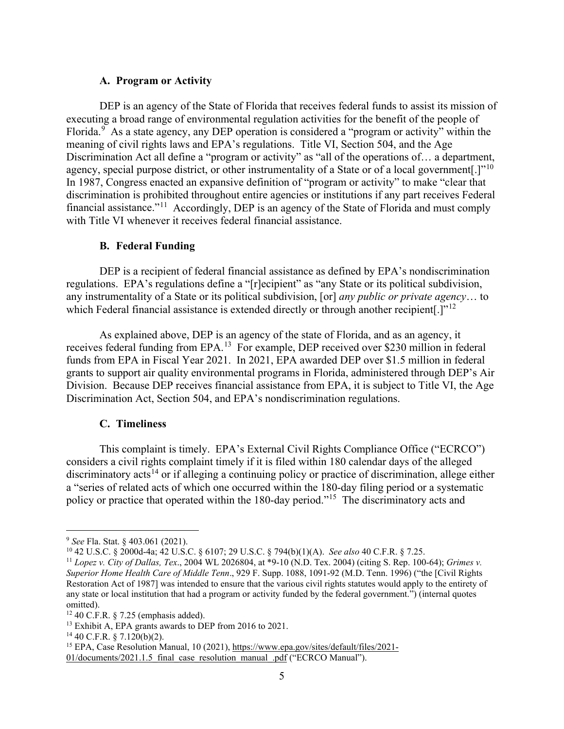### **A. Program or Activity**

DEP is an agency of the State of Florida that receives federal funds to assist its mission of executing a broad range of environmental regulation activities for the benefit of the people of Florida.<sup>[9](#page-4-0)</sup> As a state agency, any DEP operation is considered a "program or activity" within the meaning of civil rights laws and EPA's regulations. Title VI, Section 504, and the Age Discrimination Act all define a "program or activity" as "all of the operations of... a department, agency, special purpose district, or other instrumentality of a State or of a local government.]"<sup>[10](#page-4-1)</sup> In 1987, Congress enacted an expansive definition of "program or activity" to make "clear that discrimination is prohibited throughout entire agencies or institutions if any part receives Federal financial assistance."<sup>[11](#page-4-2)</sup> Accordingly, DEP is an agency of the State of Florida and must comply with Title VI whenever it receives federal financial assistance.

#### **B. Federal Funding**

DEP is a recipient of federal financial assistance as defined by EPA's nondiscrimination regulations. EPA's regulations define a "[r]ecipient" as "any State or its political subdivision, any instrumentality of a State or its political subdivision, [or] *any public or private agency*… to which Federal financial assistance is extended directly or through another recipient.]"<sup>[12](#page-4-3)</sup>

As explained above, DEP is an agency of the state of Florida, and as an agency, it receives federal funding from EPA.<sup>[13](#page-4-4)</sup> For example, DEP received over \$230 million in federal funds from EPA in Fiscal Year 2021. In 2021, EPA awarded DEP over \$1.5 million in federal grants to support air quality environmental programs in Florida, administered through DEP's Air Division. Because DEP receives financial assistance from EPA, it is subject to Title VI, the Age Discrimination Act, Section 504, and EPA's nondiscrimination regulations.

#### **C. Timeliness**

This complaint is timely. EPA's External Civil Rights Compliance Office ("ECRCO") considers a civil rights complaint timely if it is filed within 180 calendar days of the alleged discriminatory acts<sup>[14](#page-4-5)</sup> or if alleging a continuing policy or practice of discrimination, allege either a "series of related acts of which one occurred within the 180-day filing period or a systematic policy or practice that operated within the 180-day period."[15](#page-4-6) The discriminatory acts and

<span id="page-4-0"></span><sup>9</sup> *See* Fla. Stat. § 403.061 (2021).

<span id="page-4-1"></span><sup>10</sup> 42 U.S.C. § 2000d-4a; 42 U.S.C. § 6107; 29 U.S.C. § 794(b)(1)(A). *See also* 40 C.F.R. § 7.25.

<span id="page-4-2"></span><sup>11</sup> *Lopez v. City of Dallas, Tex*., 2004 WL 2026804, at \*9-10 (N.D. Tex. 2004) (citing S. Rep. 100-64); *Grimes v. Superior Home Health Care of Middle Tenn*., 929 F. Supp. 1088, 1091-92 (M.D. Tenn. 1996) ("the [Civil Rights Restoration Act of 1987] was intended to ensure that the various civil rights statutes would apply to the entirety of any state or local institution that had a program or activity funded by the federal government.") (internal quotes omitted).

<span id="page-4-4"></span><span id="page-4-3"></span><sup>&</sup>lt;sup>12</sup> 40 C.F.R. § 7.25 (emphasis added).<br><sup>13</sup> Exhibit A, EPA grants awards to DEP from 2016 to 2021.

<span id="page-4-5"></span> $14$  40 C.F.R. § 7.120(b)(2).

<span id="page-4-6"></span><sup>&</sup>lt;sup>15</sup> EPA, Case Resolution Manual, 10 (2021), [https://www.epa.gov/sites/default/files/2021-](https://www.epa.gov/sites/default/files/2021-01/documents/2021.1.5_final_case_resolution_manual_.pdf)

[<sup>01/</sup>documents/2021.1.5\\_final\\_case\\_resolution\\_manual\\_.pdf](https://www.epa.gov/sites/default/files/2021-01/documents/2021.1.5_final_case_resolution_manual_.pdf) ("ECRCO Manual").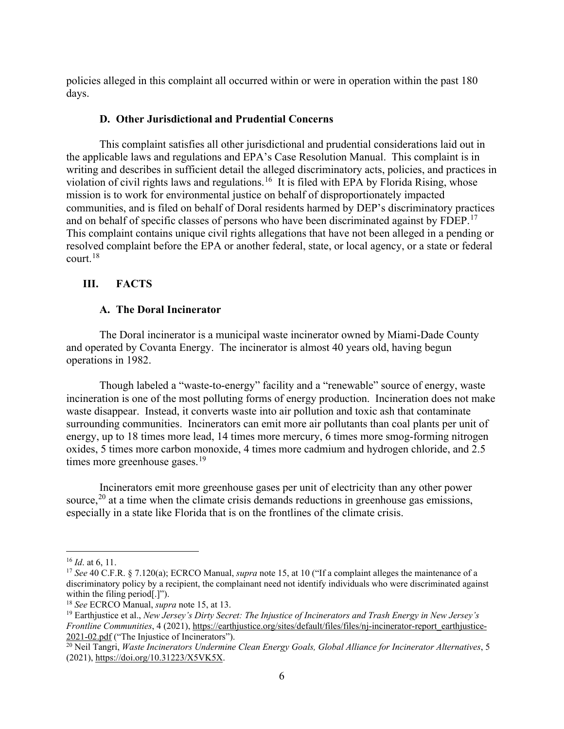policies alleged in this complaint all occurred within or were in operation within the past 180 days.

### **D. Other Jurisdictional and Prudential Concerns**

This complaint satisfies all other jurisdictional and prudential considerations laid out in the applicable laws and regulations and EPA's Case Resolution Manual. This complaint is in writing and describes in sufficient detail the alleged discriminatory acts, policies, and practices in violation of civil rights laws and regulations.<sup>[16](#page-5-0)</sup> It is filed with EPA by Florida Rising, whose mission is to work for environmental justice on behalf of disproportionately impacted communities, and is filed on behalf of Doral residents harmed by DEP's discriminatory practices and on behalf of specific classes of persons who have been discriminated against by FDEP.<sup>17</sup> This complaint contains unique civil rights allegations that have not been alleged in a pending or resolved complaint before the EPA or another federal, state, or local agency, or a state or federal court.[18](#page-5-2)

## **III. FACTS**

## **A. The Doral Incinerator**

The Doral incinerator is a municipal waste incinerator owned by Miami-Dade County and operated by Covanta Energy. The incinerator is almost 40 years old, having begun operations in 1982.

Though labeled a "waste-to-energy" facility and a "renewable" source of energy, waste incineration is one of the most polluting forms of energy production. Incineration does not make waste disappear. Instead, it converts waste into air pollution and toxic ash that contaminate surrounding communities. Incinerators can emit more air pollutants than coal plants per unit of energy, up to 18 times more lead, 14 times more mercury, 6 times more smog-forming nitrogen oxides, 5 times more carbon monoxide, 4 times more cadmium and hydrogen chloride, and 2.5 times more greenhouse gases. $19$ 

Incinerators emit more greenhouse gases per unit of electricity than any other power source,  $^{20}$  $^{20}$  $^{20}$  at a time when the climate crisis demands reductions in greenhouse gas emissions, especially in a state like Florida that is on the frontlines of the climate crisis.

<span id="page-5-1"></span><span id="page-5-0"></span><sup>&</sup>lt;sup>16</sup> *Id.* at 6, 11.<br><sup>17</sup> *See* 40 C.F.R. § 7.120(a); ECRCO Manual, *supra* note 15, at 10 ("If a complaint alleges the maintenance of a discriminatory policy by a recipient, the complainant need not identify individuals who were discriminated against

<span id="page-5-3"></span>

<span id="page-5-2"></span>within the filing period[.]").<br><sup>18</sup> *See* ECRCO Manual, *supra* note 15, at 13.<br><sup>19</sup> Earthjustice et al., *New Jersey's Dirty Secret: The Injustice of Incinerators and Trash Energy in New Jersey's Frontline Communities*, 4 (2021), [https://earthjustice.org/sites/default/files/files/nj-incinerator-report\\_earthjustice-](https://earthjustice.org/sites/default/files/files/nj-incinerator-report_earthjustice-2021-02.pdf)2021-02.pdf ("The Injustice of Incinerators").<br><sup>20</sup> Neil Tangri, *Waste Incinerators Undermine Clean Energy Goals, Global Alliance for Incinerator Alternatives, 5* 

<span id="page-5-4"></span><sup>(2021)</sup>[, https://doi.org/10.31223/X5VK5X.](https://doi.org/10.31223/X5VK5X)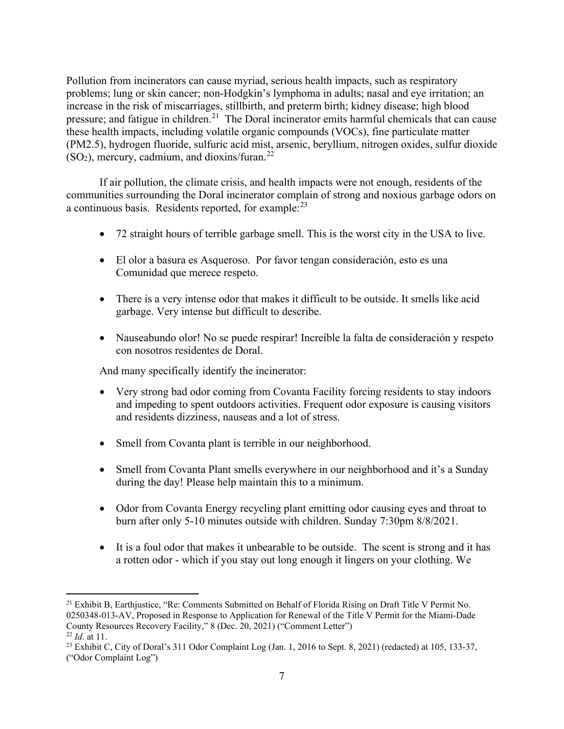Pollution from incinerators can cause myriad, serious health impacts, such as respiratory problems; lung or skin cancer; non-Hodgkin's lymphoma in adults; nasal and eye irritation; an increase in the risk of miscarriages, stillbirth, and preterm birth; kidney disease; high blood pressure; and fatigue in children.<sup>[21](#page-6-0)</sup> The Doral incinerator emits harmful chemicals that can cause these health impacts, including volatile organic compounds (VOCs), fine particulate matter (PM2.5), hydrogen fluoride, sulfuric acid mist, arsenic, beryllium, nitrogen oxides, sulfur dioxide  $(SO<sub>2</sub>)$ , mercury, cadmium, and dioxins/furan.<sup>[22](#page-6-1)</sup>

If air pollution, the climate crisis, and health impacts were not enough, residents of the communities surrounding the Doral incinerator complain of strong and noxious garbage odors on a continuous basis. Residents reported, for example:<sup>[23](#page-6-2)</sup>

- 72 straight hours of terrible garbage smell. This is the worst city in the USA to live.
- El olor a basura es Asqueroso. Por favor tengan consideración, esto es una Comunidad que merece respeto.
- There is a very intense odor that makes it difficult to be outside. It smells like acid garbage. Very intense but difficult to describe.
- Nauseabundo olor! No se puede respirar! Increíble la falta de consideración y respeto con nosotros residentes de Doral.

And many specifically identify the incinerator:

- Very strong bad odor coming from Covanta Facility forcing residents to stay indoors and impeding to spent outdoors activities. Frequent odor exposure is causing visitors and residents dizziness, nauseas and a lot of stress.
- Smell from Covanta plant is terrible in our neighborhood.
- Smell from Covanta Plant smells everywhere in our neighborhood and it's a Sunday during the day! Please help maintain this to a minimum.
- Odor from Covanta Energy recycling plant emitting odor causing eyes and throat to burn after only 5-10 minutes outside with children. Sunday 7:30pm 8/8/2021.
- It is a foul odor that makes it unbearable to be outside. The scent is strong and it has a rotten odor - which if you stay out long enough it lingers on your clothing. We

<span id="page-6-0"></span><sup>&</sup>lt;sup>21</sup> Exhibit B, Earthjustice, "Re: Comments Submitted on Behalf of Florida Rising on Draft Title V Permit No. 0250348-013-AV, Proposed in Response to Application for Renewal of the Title V Permit for the Miami-Dade County Resources Recovery Facility," 8 (Dec. 20, 2021) ("Comment Letter")<br><sup>22</sup> *Id.* at 11.<br><sup>23</sup> Exhibit C, City of Doral's 311 Odor Complaint Log (Jan. 1, 2016 to Sept. 8, 2021) (redacted) at 105, 133-37,

<span id="page-6-2"></span><span id="page-6-1"></span><sup>(&</sup>quot;Odor Complaint Log")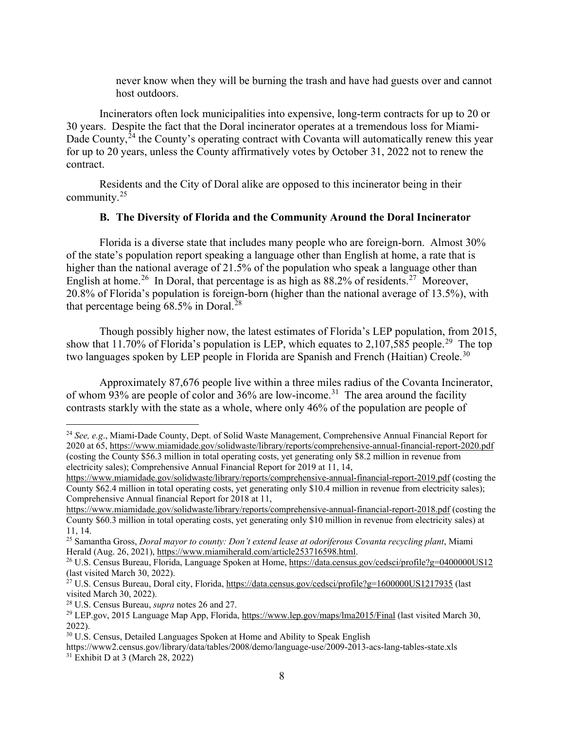never know when they will be burning the trash and have had guests over and cannot host outdoors.

Incinerators often lock municipalities into expensive, long-term contracts for up to 20 or 30 years. Despite the fact that the Doral incinerator operates at a tremendous loss for Miami-Dade County,<sup>[24](#page-7-0)</sup> the County's operating contract with Covanta will automatically renew this year for up to 20 years, unless the County affirmatively votes by October 31, 2022 not to renew the contract.

Residents and the City of Doral alike are opposed to this incinerator being in their community.[25](#page-7-1)

### **B. The Diversity of Florida and the Community Around the Doral Incinerator**

Florida is a diverse state that includes many people who are foreign-born. Almost 30% of the state's population report speaking a language other than English at home, a rate that is higher than the national average of 21.5% of the population who speak a language other than English at home.<sup>[26](#page-7-2)</sup> In Doral, that percentage is as high as 88.2% of residents.<sup>[27](#page-7-3)</sup> Moreover, 20.8% of Florida's population is foreign-born (higher than the national average of 13.5%), with that percentage being  $68.5\%$  in Doral.<sup>[28](#page-7-4)</sup>

Though possibly higher now, the latest estimates of Florida's LEP population, from 2015, show that 11.70% of Florida's population is LEP, which equates to 2,107,585 people.<sup>29</sup> The top two languages spoken by LEP people in Florida are Spanish and French (Haitian) Creole.<sup>[30](#page-7-6)</sup>

Approximately 87,676 people live within a three miles radius of the Covanta Incinerator, of whom 93% are people of color and 36% are low-income.<sup>[31](#page-7-7)</sup> The area around the facility contrasts starkly with the state as a whole, where only 46% of the population are people of

<span id="page-7-0"></span><sup>24</sup> *See, e.g*., Miami-Dade County, Dept. of Solid Waste Management, Comprehensive Annual Financial Report for 2020 at 65,<https://www.miamidade.gov/solidwaste/library/reports/comprehensive-annual-financial-report-2020.pdf> (costing the County \$56.3 million in total operating costs, yet generating only \$8.2 million in revenue from electricity sales); Comprehensive Annual Financial Report for 2019 at 11, 14,

<https://www.miamidade.gov/solidwaste/library/reports/comprehensive-annual-financial-report-2019.pdf> (costing the County \$62.4 million in total operating costs, yet generating only \$10.4 million in revenue from electricity sales); Comprehensive Annual financial Report for 2018 at 11,

<https://www.miamidade.gov/solidwaste/library/reports/comprehensive-annual-financial-report-2018.pdf> (costing the County \$60.3 million in total operating costs, yet generating only \$10 million in revenue from electricity sales) at 11, 14. 25 Samantha Gross, *Doral mayor to county: Don't extend lease at odoriferous Covanta recycling plant*, Miami

<span id="page-7-1"></span>Herald (Aug. 26, 2021), https://www.miamiherald.com/article253716598.html.<br><sup>26</sup> U.S. Census Bureau, Florida, Language Spoken at Home,<https://data.census.gov/cedsci/profile?g=0400000US12>

<span id="page-7-2"></span><sup>(</sup>last visited March 30, 2022).

<span id="page-7-3"></span><sup>&</sup>lt;sup>27</sup> U.S. Census Bureau, Doral city, Florida[, https://data.census.gov/cedsci/profile?g=1600000US1217935](https://data.census.gov/cedsci/profile?g=1600000US1217935) (last visited March 30, 2022).

<span id="page-7-4"></span><sup>28</sup> U.S. Census Bureau, *supra* notes 26 and 27.

<span id="page-7-5"></span><sup>29</sup> LEP.gov, 2015 Language Map App, Florida[, https://www.lep.gov/maps/lma2015/Final](https://www.lep.gov/maps/lma2015/Final) (last visited March 30, 2022).

<span id="page-7-6"></span><sup>&</sup>lt;sup>30</sup> U.S. Census, Detailed Languages Spoken at Home and Ability to Speak English

<span id="page-7-7"></span>https://www2.census.gov/library/data/tables/2008/demo/language-use/2009-2013-acs-lang-tables-state.xls  $31$  Exhibit D at 3 (March 28, 2022)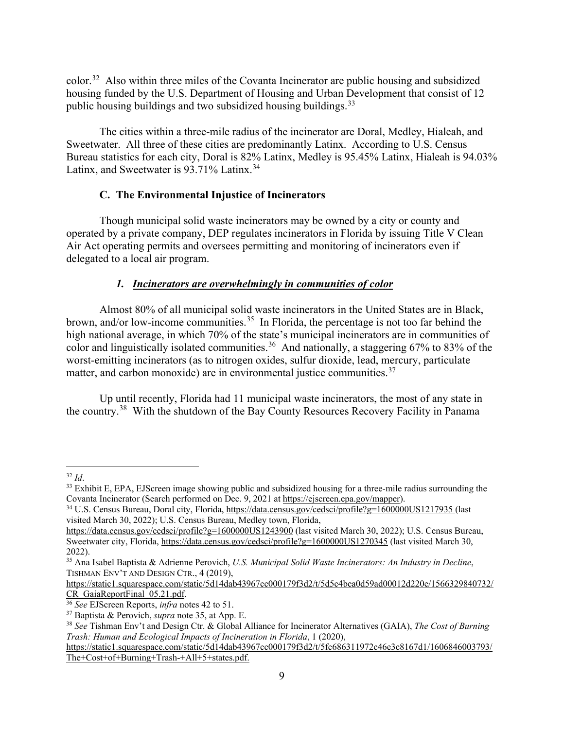color. [32](#page-8-0) Also within three miles of the Covanta Incinerator are public housing and subsidized housing funded by the U.S. Department of Housing and Urban Development that consist of 12 public housing buildings and two subsidized housing buildings.<sup>[33](#page-8-1)</sup>

The cities within a three-mile radius of the incinerator are Doral, Medley, Hialeah, and Sweetwater. All three of these cities are predominantly Latinx. According to U.S. Census Bureau statistics for each city, Doral is 82% Latinx, Medley is 95.45% Latinx, Hialeah is 94.03% Latinx, and Sweetwater is 93.71% Latinx.<sup>[34](#page-8-2)</sup>

# **C. The Environmental Injustice of Incinerators**

Though municipal solid waste incinerators may be owned by a city or county and operated by a private company, DEP regulates incinerators in Florida by issuing Title V Clean Air Act operating permits and oversees permitting and monitoring of incinerators even if delegated to a local air program.

# *1. Incinerators are overwhelmingly in communities of color*

Almost 80% of all municipal solid waste incinerators in the United States are in Black, brown, and/or low-income communities.<sup>[35](#page-8-3)</sup> In Florida, the percentage is not too far behind the high national average, in which 70% of the state's municipal incinerators are in communities of color and linguistically isolated communities.<sup>[36](#page-8-4)</sup> And nationally, a staggering  $67\%$  to 83% of the worst-emitting incinerators (as to nitrogen oxides, sulfur dioxide, lead, mercury, particulate matter, and carbon monoxide) are in environmental justice communities.<sup>37</sup>

Up until recently, Florida had 11 municipal waste incinerators, the most of any state in the country.<sup>38</sup> With the shutdown of the Bay County Resources Recovery Facility in Panama

<span id="page-8-1"></span><span id="page-8-0"></span><sup>&</sup>lt;sup>32</sup> *Id.* 33 *Id.* 32 *Id.* Suppose Showing public and subsidized housing for a three-mile radius surrounding the 33 Exhibit E, EPA, EJScreen image showing public and subsidized housing the 34 Covanta Incinerator (Search performed on Dec. 9, 2021 at [https://ejscreen.epa.gov/mapper\)](https://ejscreen.epa.gov/mapper).

<span id="page-8-2"></span><sup>&</sup>lt;sup>34</sup> U.S. Census Bureau, Doral city, Florida[, https://data.census.gov/cedsci/profile?g=1600000US1217935](https://data.census.gov/cedsci/profile?g=1600000US1217935) (last visited March 30, 2022); U.S. Census Bureau, Medley town, Florida,

<https://data.census.gov/cedsci/profile?g=1600000US1243900> (last visited March 30, 2022); U.S. Census Bureau, Sweetwater city, Florida,<https://data.census.gov/cedsci/profile?g=1600000US1270345> (last visited March 30, 2022).

<span id="page-8-3"></span><sup>35</sup> Ana Isabel Baptista & Adrienne Perovich, *U.S. Municipal Solid Waste Incinerators: An Industry in Decline*, TISHMAN ENV'T AND DESIGN CTR., 4 (2019),

[https://static1.squarespace.com/static/5d14dab43967cc000179f3d2/t/5d5c4bea0d59ad00012d220e/1566329840732/](https://static1.squarespace.com/static/5d14dab43967cc000179f3d2/t/5d5c4bea0d59ad00012d220e/1566329840732/CR_GaiaReportFinal_05.21.pdf)<br>CR GaiaReportFinal 05.21.pdf.

<span id="page-8-4"></span><sup>&</sup>lt;sup>36</sup> See EJScreen Reports, *infra* notes 42 to 51.

<span id="page-8-5"></span><sup>37</sup> Baptista & Perovich, *supra* note 35, at App. E.

<span id="page-8-6"></span><sup>38</sup> *See* Tishman Env't and Design Ctr. & Global Alliance for Incinerator Alternatives (GAIA), *The Cost of Burning Trash: Human and Ecological Impacts of Incineration in Florida*, 1 (2020),

[https://static1.squarespace.com/static/5d14dab43967cc000179f3d2/t/5fc686311972c46e3c8167d1/1606846003793/](https://static1.squarespace.com/static/5d14dab43967cc000179f3d2/t/5fc686311972c46e3c8167d1/1606846003793/The+Cost+of+Burning+Trash-+All+5+states.pdf) [The+Cost+of+Burning+Trash-+All+5+states.pdf.](https://static1.squarespace.com/static/5d14dab43967cc000179f3d2/t/5fc686311972c46e3c8167d1/1606846003793/The+Cost+of+Burning+Trash-+All+5+states.pdf)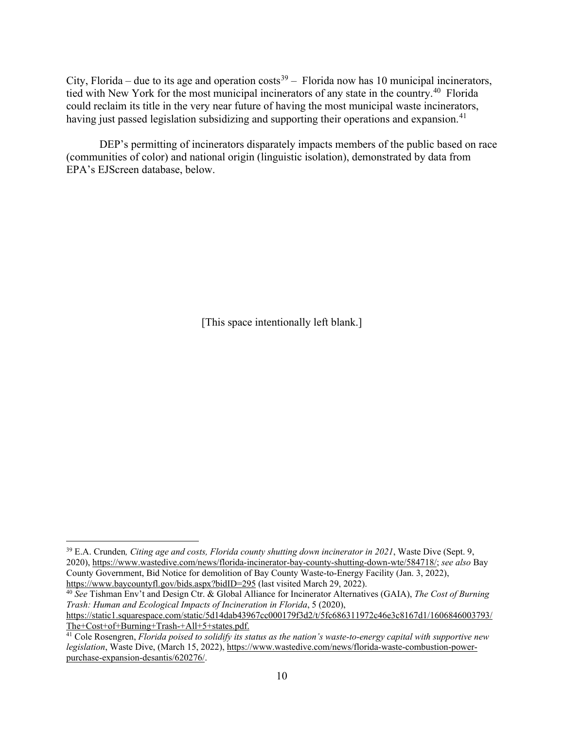City, Florida – due to its age and operation  $costs<sup>39</sup>$  $costs<sup>39</sup>$  $costs<sup>39</sup>$  – Florida now has 10 municipal incinerators, tied with New York for the most municipal incinerators of any state in the country.[40](#page-9-1) Florida could reclaim its title in the very near future of having the most municipal waste incinerators, having just passed legislation subsidizing and supporting their operations and expansion.<sup>[41](#page-9-2)</sup>

DEP's permitting of incinerators disparately impacts members of the public based on race (communities of color) and national origin (linguistic isolation), demonstrated by data from EPA's EJScreen database, below.

[This space intentionally left blank.]

<span id="page-9-0"></span><sup>39</sup> E.A. Crunden*, Citing age and costs, Florida county shutting down incinerator in 2021*, Waste Dive (Sept. 9, 2020), [https://www.wastedive.com/news/florida-incinerator-bay-county-shutting-down-wte/584718/;](https://www.wastedive.com/news/florida-incinerator-bay-county-shutting-down-wte/584718/) *see also* Bay County Government, Bid Notice for demolition of Bay County Waste-to-Energy Facility (Jan. 3, 2022), https://www.baycountyfl.gov/bids.aspx?bidID=295 (last visited March 29, 2022).

<span id="page-9-1"></span><sup>&</sup>lt;sup>40</sup> See Tishman Env't and Design Ctr. & Global Alliance for Incinerator Alternatives (GAIA), *The Cost of Burning Trash: Human and Ecological Impacts of Incineration in Florida*, 5 (2020), [https://static1.squarespace.com/static/5d14dab43967cc000179f3d2/t/5fc686311972c46e3c8167d1/1606846003793/](https://static1.squarespace.com/static/5d14dab43967cc000179f3d2/t/5fc686311972c46e3c8167d1/1606846003793/The+Cost+of+Burning+Trash-+All+5+states.pdf)

<span id="page-9-2"></span>[The+Cost+of+Burning+Trash-+All+5+states.pdf.](https://static1.squarespace.com/static/5d14dab43967cc000179f3d2/t/5fc686311972c46e3c8167d1/1606846003793/The+Cost+of+Burning+Trash-+All+5+states.pdf) <sup>41</sup> Cole Rosengren, *Florida poised to solidify its status as the nation's waste-to-energy capital with supportive new legislation*, Waste Dive, (March 15, 2022), [https://www.wastedive.com/news/florida-waste-combustion-power](https://www.wastedive.com/news/florida-waste-combustion-power-purchase-expansion-desantis/620276/)[purchase-expansion-desantis/620276/.](https://www.wastedive.com/news/florida-waste-combustion-power-purchase-expansion-desantis/620276/)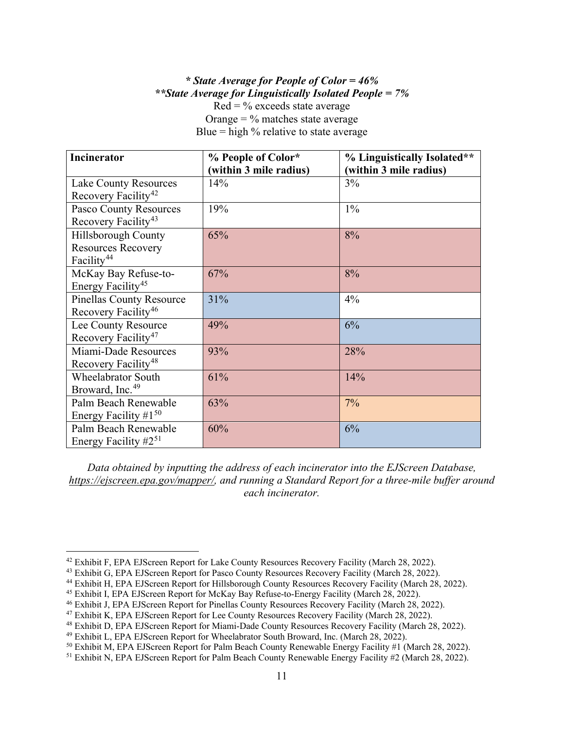## *\* State Average for People of Color = 46% \*\*State Average for Linguistically Isolated People = 7%*  $Red = \%$  exceeds state average

Orange  $=$  % matches state average Blue  $=$  high % relative to state average

| <b>Incinerator</b>              | % People of Color*     | % Linguistically Isolated** |
|---------------------------------|------------------------|-----------------------------|
|                                 | (within 3 mile radius) | (within 3 mile radius)      |
| <b>Lake County Resources</b>    | 14%                    | 3%                          |
| Recovery Facility <sup>42</sup> |                        |                             |
| Pasco County Resources          | 19%                    | $1\%$                       |
| Recovery Facility <sup>43</sup> |                        |                             |
| <b>Hillsborough County</b>      | 65%                    | 8%                          |
| <b>Resources Recovery</b>       |                        |                             |
| Facility <sup>44</sup>          |                        |                             |
| McKay Bay Refuse-to-            | 67%                    | 8%                          |
| Energy Facility <sup>45</sup>   |                        |                             |
| <b>Pinellas County Resource</b> | 31%                    | 4%                          |
| Recovery Facility <sup>46</sup> |                        |                             |
| Lee County Resource             | 49%                    | 6%                          |
| Recovery Facility <sup>47</sup> |                        |                             |
| Miami-Dade Resources            | 93%                    | 28%                         |
| Recovery Facility <sup>48</sup> |                        |                             |
| <b>Wheelabrator South</b>       | 61%                    | 14%                         |
| Broward, Inc. <sup>49</sup>     |                        |                             |
| Palm Beach Renewable            | 63%                    | 7%                          |
| Energy Facility $#1^{50}$       |                        |                             |
| Palm Beach Renewable            | 60%                    | 6%                          |
| Energy Facility $#2^{51}$       |                        |                             |

*Data obtained by inputting the address of each incinerator into the EJScreen Database, [https://ejscreen.epa.gov/mapper/,](https://ejscreen.epa.gov/mapper/) and running a Standard Report for a three-mile buffer around each incinerator.*

<span id="page-10-0"></span><sup>&</sup>lt;sup>42</sup> Exhibit F, EPA EJScreen Report for Lake County Resources Recovery Facility (March 28, 2022).

<span id="page-10-1"></span><sup>&</sup>lt;sup>43</sup> Exhibit G, EPA EJScreen Report for Pasco County Resources Recovery Facility (March 28, 2022).

<span id="page-10-2"></span><sup>&</sup>lt;sup>44</sup> Exhibit H, EPA EJScreen Report for Hillsborough County Resources Recovery Facility (March 28, 2022).

<span id="page-10-3"></span><sup>45</sup> Exhibit I, EPA EJScreen Report for McKay Bay Refuse-to-Energy Facility (March 28, 2022).

<span id="page-10-4"></span><sup>46</sup> Exhibit J, EPA EJScreen Report for Pinellas County Resources Recovery Facility (March 28, 2022).

<span id="page-10-5"></span><sup>47</sup> Exhibit K, EPA EJScreen Report for Lee County Resources Recovery Facility (March 28, 2022).

<span id="page-10-6"></span><sup>48</sup> Exhibit D, EPA EJScreen Report for Miami-Dade County Resources Recovery Facility (March 28, 2022).

<span id="page-10-7"></span><sup>49</sup> Exhibit L, EPA EJScreen Report for Wheelabrator South Broward, Inc. (March 28, 2022).

<span id="page-10-8"></span><sup>50</sup> Exhibit M, EPA EJScreen Report for Palm Beach County Renewable Energy Facility #1 (March 28, 2022).

<span id="page-10-9"></span><sup>&</sup>lt;sup>51</sup> Exhibit N, EPA EJScreen Report for Palm Beach County Renewable Energy Facility #2 (March 28, 2022).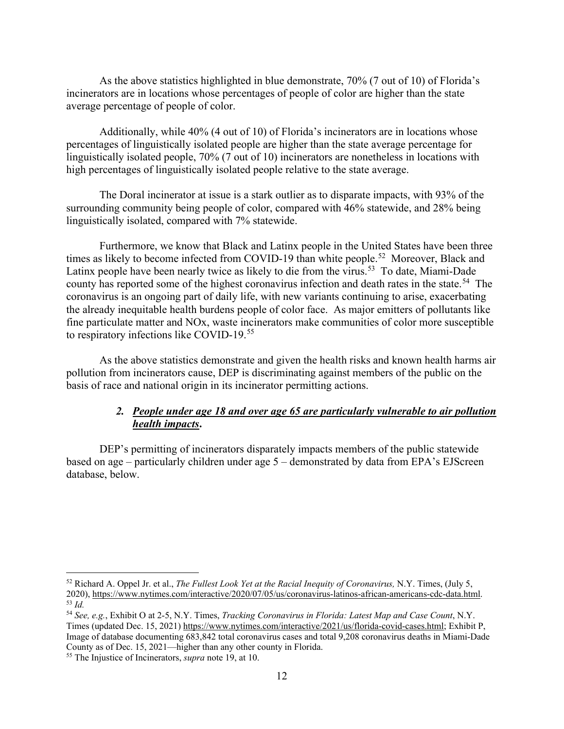As the above statistics highlighted in blue demonstrate, 70% (7 out of 10) of Florida's incinerators are in locations whose percentages of people of color are higher than the state average percentage of people of color.

Additionally, while 40% (4 out of 10) of Florida's incinerators are in locations whose percentages of linguistically isolated people are higher than the state average percentage for linguistically isolated people, 70% (7 out of 10) incinerators are nonetheless in locations with high percentages of linguistically isolated people relative to the state average.

The Doral incinerator at issue is a stark outlier as to disparate impacts, with 93% of the surrounding community being people of color, compared with 46% statewide, and 28% being linguistically isolated, compared with 7% statewide.

Furthermore, we know that Black and Latinx people in the United States have been three times as likely to become infected from COVID-19 than white people.<sup>52</sup> Moreover, Black and Latinx people have been nearly twice as likely to die from the virus.<sup>[53](#page-11-1)</sup> To date, Miami-Dade county has reported some of the highest coronavirus infection and death rates in the state.<sup>[54](#page-11-2)</sup> The coronavirus is an ongoing part of daily life, with new variants continuing to arise, exacerbating the already inequitable health burdens people of color face. As major emitters of pollutants like fine particulate matter and NOx, waste incinerators make communities of color more susceptible to respiratory infections like COVID-19.<sup>[55](#page-11-3)</sup>

As the above statistics demonstrate and given the health risks and known health harms air pollution from incinerators cause, DEP is discriminating against members of the public on the basis of race and national origin in its incinerator permitting actions.

## *2. People under age 18 and over age 65 are particularly vulnerable to air pollution health impacts***.**

DEP's permitting of incinerators disparately impacts members of the public statewide based on age – particularly children under age 5 – demonstrated by data from EPA's EJScreen database, below.

<span id="page-11-0"></span><sup>52</sup> Richard A. Oppel Jr. et al., *The Fullest Look Yet at the Racial Inequity of Coronavirus,* N.Y. Times, (July 5, 2020), [https://www.nytimes.com/interactive/2020/07/05/us/coronavirus-latinos-african-americans-cdc-data.html.](https://www.nytimes.com/interactive/2020/07/05/us/coronavirus-latinos-african-americans-cdc-data.html) <sup>53</sup> *Id.*

<span id="page-11-2"></span><span id="page-11-1"></span><sup>54</sup> *See, e.g.*, Exhibit O at 2-5, N.Y. Times, *Tracking Coronavirus in Florida: Latest Map and Case Count*, N.Y. Times (updated Dec. 15, 2021) [https://www.nytimes.com/interactive/2021/us/florida-covid-cases.html;](https://www.nytimes.com/interactive/2021/us/florida-covid-cases.html) Exhibit P, Image of database documenting 683,842 total coronavirus cases and total 9,208 coronavirus deaths in Miami-Dade County as of Dec. 15, 2021—higher than any other county in Florida.

<span id="page-11-3"></span><sup>55</sup> The Injustice of Incinerators, *supra* note 19, at 10.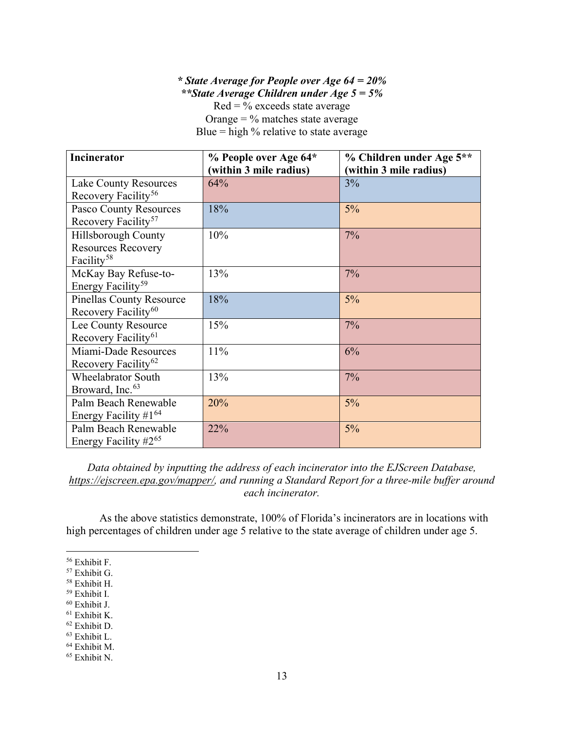*\* State Average for People over Age 64 = 20% \*\*State Average Children under Age 5 = 5%*  $Red = \%$  exceeds state average

Orange  $=$  % matches state average Blue  $=$  high % relative to state average

| <b>Incinerator</b>               | % People over Age 64*  | % Children under Age 5** |
|----------------------------------|------------------------|--------------------------|
|                                  | (within 3 mile radius) | (within 3 mile radius)   |
| <b>Lake County Resources</b>     | 64%                    | 3%                       |
| Recovery Facility <sup>56</sup>  |                        |                          |
| <b>Pasco County Resources</b>    | 18%                    | $5\%$                    |
| Recovery Facility <sup>57</sup>  |                        |                          |
| Hillsborough County              | 10%                    | 7%                       |
| <b>Resources Recovery</b>        |                        |                          |
| Facility <sup>58</sup>           |                        |                          |
| McKay Bay Refuse-to-             | 13%                    | 7%                       |
| Energy Facility <sup>59</sup>    |                        |                          |
| <b>Pinellas County Resource</b>  | 18%                    | 5%                       |
| Recovery Facility <sup>60</sup>  |                        |                          |
| Lee County Resource              | 15%                    | 7%                       |
| Recovery Facility <sup>61</sup>  |                        |                          |
| Miami-Dade Resources             | 11%                    | 6%                       |
| Recovery Facility <sup>62</sup>  |                        |                          |
| <b>Wheelabrator South</b>        | 13%                    | 7%                       |
| Broward, Inc. <sup>63</sup>      |                        |                          |
| Palm Beach Renewable             | 20%                    | 5%                       |
| Energy Facility #1 <sup>64</sup> |                        |                          |
| Palm Beach Renewable             | 22%                    | 5%                       |
| Energy Facility $#2^{65}$        |                        |                          |

*Data obtained by inputting the address of each incinerator into the EJScreen Database, [https://ejscreen.epa.gov/mapper/,](https://ejscreen.epa.gov/mapper/) and running a Standard Report for a three-mile buffer around each incinerator.*

As the above statistics demonstrate, 100% of Florida's incinerators are in locations with high percentages of children under age 5 relative to the state average of children under age 5.

<span id="page-12-0"></span><sup>56</sup> Exhibit F.

<span id="page-12-1"></span><sup>57</sup> Exhibit G.

<span id="page-12-2"></span><sup>58</sup> Exhibit H.

<span id="page-12-3"></span><sup>59</sup> Exhibit I.

<span id="page-12-4"></span><sup>60</sup> Exhibit J.

<span id="page-12-5"></span><sup>61</sup> Exhibit K.

<span id="page-12-6"></span><sup>62</sup> Exhibit D.

<span id="page-12-7"></span><sup>63</sup> Exhibit L.

<span id="page-12-8"></span><sup>64</sup> Exhibit M.

<span id="page-12-9"></span><sup>65</sup> Exhibit N.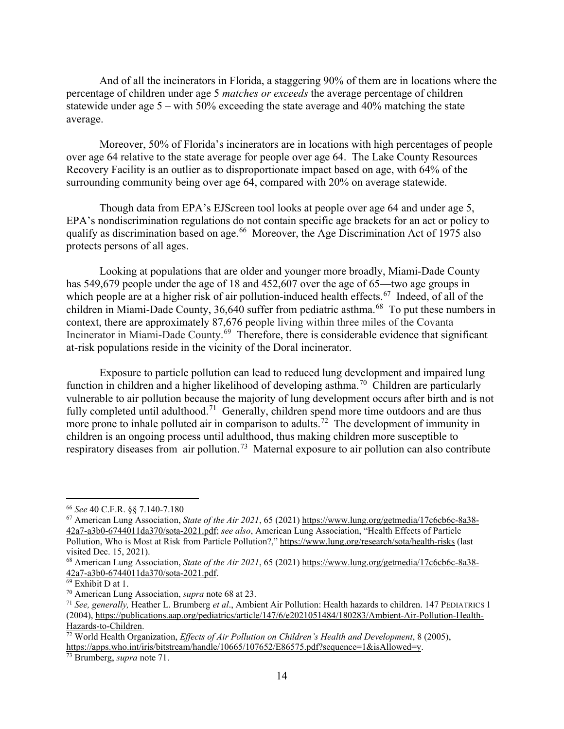And of all the incinerators in Florida, a staggering 90% of them are in locations where the percentage of children under age 5 *matches or exceeds* the average percentage of children statewide under age 5 – with 50% exceeding the state average and 40% matching the state average.

Moreover, 50% of Florida's incinerators are in locations with high percentages of people over age 64 relative to the state average for people over age 64. The Lake County Resources Recovery Facility is an outlier as to disproportionate impact based on age, with 64% of the surrounding community being over age 64, compared with 20% on average statewide.

Though data from EPA's EJScreen tool looks at people over age 64 and under age 5, EPA's nondiscrimination regulations do not contain specific age brackets for an act or policy to qualify as discrimination based on age. [66](#page-13-0) Moreover, the Age Discrimination Act of 1975 also protects persons of all ages.

Looking at populations that are older and younger more broadly, Miami-Dade County has 549,679 people under the age of 18 and 452,607 over the age of 65—two age groups in which people are at a higher risk of air pollution-induced health effects.<sup>[67](#page-13-1)</sup> Indeed, of all of the children in Miami-Dade County, 36,640 suffer from pediatric asthma.<sup>[68](#page-13-2)</sup> To put these numbers in context, there are approximately 87,676 people living within three miles of the Covanta Incinerator in Miami-Dade County.[69](#page-13-3) Therefore, there is considerable evidence that significant at-risk populations reside in the vicinity of the Doral incinerator.

Exposure to particle pollution can lead to reduced lung development and impaired lung function in children and a higher likelihood of developing asthma.<sup>[70](#page-13-4)</sup> Children are particularly vulnerable to air pollution because the majority of lung development occurs after birth and is not fully completed until adulthood.<sup>[71](#page-13-5)</sup> Generally, children spend more time outdoors and are thus more prone to inhale polluted air in comparison to adults.<sup>[72](#page-13-6)</sup> The development of immunity in children is an ongoing process until adulthood, thus making children more susceptible to respiratory diseases from air pollution.<sup>[73](#page-13-7)</sup> Maternal exposure to air pollution can also contribute

<span id="page-13-0"></span><sup>66</sup> *See* 40 C.F.R. §§ 7.140-7.180

<span id="page-13-1"></span><sup>67</sup> American Lung Association, *State of the Air 2021*, 65 (2021) [https://www.lung.org/getmedia/17c6cb6c-8a38-](https://www.lung.org/getmedia/17c6cb6c-8a38-42a7-a3b0-6744011da370/sota-2021.pdf) [42a7-a3b0-6744011da370/sota-2021.pdf;](https://www.lung.org/getmedia/17c6cb6c-8a38-42a7-a3b0-6744011da370/sota-2021.pdf) *see also*, American Lung Association, "Health Effects of Particle Pollution, Who is Most at Risk from Particle Pollution?,"<https://www.lung.org/research/sota/health-risks> (last visited Dec. 15, 2021).

<span id="page-13-2"></span><sup>&</sup>lt;sup>68</sup> American Lung Association, *State of the Air 2021*, 65 (2021) [https://www.lung.org/getmedia/17c6cb6c-8a38-](https://www.lung.org/getmedia/17c6cb6c-8a38-42a7-a3b0-6744011da370/sota-2021.pdf)42a7-a3b0-6744011da370/sota-2021.pdf.

<span id="page-13-5"></span><span id="page-13-4"></span>

<span id="page-13-3"></span><sup>&</sup>lt;sup>69</sup> Exhibit D at 1.<br><sup>70</sup> American Lung Association, *supra* note 68 at 23.<br><sup>71</sup> See, generally, Heather L. Brumberg et al., Ambient Air Pollution: Health hazards to children. 147 PEDIATRICS 1 (2004), [https://publications.aap.org/pediatrics/article/147/6/e2021051484/180283/Ambient-Air-Pollution-Health-](https://publications.aap.org/pediatrics/article/147/6/e2021051484/180283/Ambient-Air-Pollution-Health-Hazards-to-Children)[Hazards-to-Children.](https://publications.aap.org/pediatrics/article/147/6/e2021051484/180283/Ambient-Air-Pollution-Health-Hazards-to-Children)

<span id="page-13-6"></span><sup>72</sup> World Health Organization, *Effects of Air Pollution on Children's Health and Development*, 8 (2005), [https://apps.who.int/iris/bitstream/handle/10665/107652/E86575.pdf?sequence=1&isAllowed=y.](https://apps.who.int/iris/bitstream/handle/10665/107652/E86575.pdf?sequence=1&isAllowed=y) 73 Brumberg, *supra* note 71.

<span id="page-13-7"></span>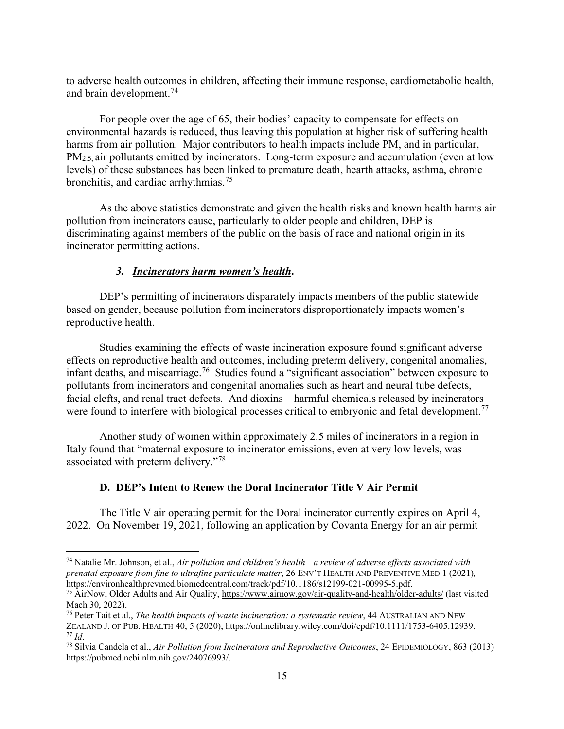to adverse health outcomes in children, affecting their immune response, cardiometabolic health, and brain development. [74](#page-14-0)

For people over the age of 65, their bodies' capacity to compensate for effects on environmental hazards is reduced, thus leaving this population at higher risk of suffering health harms from air pollution. Major contributors to health impacts include PM, and in particular, PM<sub>2.5</sub>, air pollutants emitted by incinerators. Long-term exposure and accumulation (even at low levels) of these substances has been linked to premature death, hearth attacks, asthma, chronic bronchitis, and cardiac arrhythmias.<sup>[75](#page-14-1)</sup>

As the above statistics demonstrate and given the health risks and known health harms air pollution from incinerators cause, particularly to older people and children, DEP is discriminating against members of the public on the basis of race and national origin in its incinerator permitting actions.

# *3. Incinerators harm women's health***.**

DEP's permitting of incinerators disparately impacts members of the public statewide based on gender, because pollution from incinerators disproportionately impacts women's reproductive health.

Studies examining the effects of waste incineration exposure found significant adverse effects on reproductive health and outcomes, including preterm delivery, congenital anomalies, infant deaths, and miscarriage.[76](#page-14-2) Studies found a "significant association" between exposure to pollutants from incinerators and congenital anomalies such as heart and neural tube defects, facial clefts, and renal tract defects. And dioxins – harmful chemicals released by incinerators – were found to interfere with biological processes critical to embryonic and fetal development.<sup>[77](#page-14-3)</sup>

Another study of women within approximately 2.5 miles of incinerators in a region in Italy found that "maternal exposure to incinerator emissions, even at very low levels, was associated with preterm delivery."[78](#page-14-4)

# **D. DEP's Intent to Renew the Doral Incinerator Title V Air Permit**

The Title V air operating permit for the Doral incinerator currently expires on April 4, 2022. On November 19, 2021, following an application by Covanta Energy for an air permit

<span id="page-14-0"></span><sup>74</sup> Natalie Mr. Johnson, et al., *Air pollution and children's health—a review of adverse effects associated with prenatal exposure from fine to ultrafine particulate matter*, 26 ENV'T HEALTH AND PREVENTIVE MED 1 (2021), *https://environhealthprevmed.biomedcentral.com/track/pdf/10.1186/s12199-021-00995-5.pdf.* 

<span id="page-14-1"></span><sup>&</sup>lt;sup>75</sup> AirNow, Older Adults and Air Quality,<https://www.airnow.gov/air-quality-and-health/older-adults/> (last visited Mach 30, 2022).

<span id="page-14-2"></span><sup>76</sup> Peter Tait et al., *The health impacts of waste incineration: a systematic review*, 44 AUSTRALIAN AND NEW ZEALAND J. OF PUB. HEALTH 40, 5 (2020), [https://onlinelibrary.wiley.com/doi/epdf/10.1111/1753-6405.12939.](https://onlinelibrary.wiley.com/doi/epdf/10.1111/1753-6405.12939) 77 *Id*.

<span id="page-14-4"></span><span id="page-14-3"></span><sup>78</sup> Silvia Candela et al., *Air Pollution from Incinerators and Reproductive Outcomes*, 24 EPIDEMIOLOGY, 863 (2013) [https://pubmed.ncbi.nlm.nih.gov/24076993/.](https://pubmed.ncbi.nlm.nih.gov/24076993/)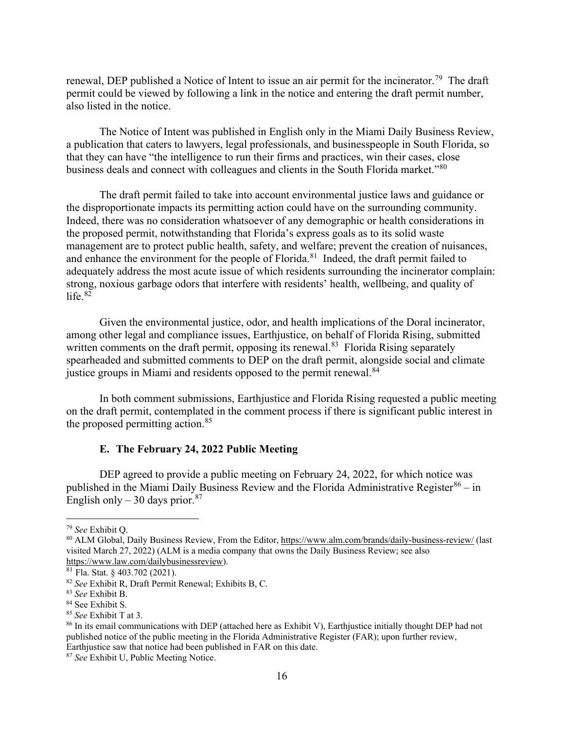renewal, DEP published a Notice of Intent to issue an air permit for the incinerator.<sup>[79](#page-15-0)</sup> The draft permit could be viewed by following a link in the notice and entering the draft permit number, also listed in the notice.

The Notice of Intent was published in English only in the Miami Daily Business Review, a publication that caters to lawyers, legal professionals, and businesspeople in South Florida, so that they can have "the intelligence to run their firms and practices, win their cases, close business deals and connect with colleagues and clients in the South Florida market."[80](#page-15-1)

The draft permit failed to take into account environmental justice laws and guidance or the disproportionate impacts its permitting action could have on the surrounding community. Indeed, there was no consideration whatsoever of any demographic or health considerations in the proposed permit, notwithstanding that Florida's express goals as to its solid waste management are to protect public health, safety, and welfare; prevent the creation of nuisances, and enhance the environment for the people of Florida.<sup>81</sup> Indeed, the draft permit failed to adequately address the most acute issue of which residents surrounding the incinerator complain: strong, noxious garbage odors that interfere with residents' health, wellbeing, and quality of life. $82$ 

Given the environmental justice, odor, and health implications of the Doral incinerator, among other legal and compliance issues, Earthjustice, on behalf of Florida Rising, submitted written comments on the draft permit, opposing its renewal.<sup>83</sup> Florida Rising separately spearheaded and submitted comments to DEP on the draft permit, alongside social and climate justice groups in Miami and residents opposed to the permit renewal.<sup>[84](#page-15-5)</sup>

In both comment submissions, Earthjustice and Florida Rising requested a public meeting on the draft permit, contemplated in the comment process if there is significant public interest in the proposed permitting action.<sup>[85](#page-15-6)</sup>

### **E. The February 24, 2022 Public Meeting**

DEP agreed to provide a public meeting on February 24, 2022, for which notice was published in the Miami Daily Business Review and the Florida Administrative Register $86 - in$  $86 - in$ English only – 30 days prior. $87$ 

<span id="page-15-1"></span><span id="page-15-0"></span><sup>&</sup>lt;sup>79</sup> *See* Exhibit Q.<br><sup>80</sup> ALM Global, Daily Business Review, From the Editor,<https://www.alm.com/brands/daily-business-review/> (last visited March 27, 2022) (ALM is a media company that owns the Daily Business Review; see also [https://www.law.com/dailybusinessreview\)](https://www.law.com/dailybusinessreview).<br><sup>81</sup> Fla. Stat. § 403.702 (2021).

<span id="page-15-2"></span>

<span id="page-15-3"></span><sup>&</sup>lt;sup>82</sup> See Exhibit R, Draft Permit Renewal; Exhibits B, C.

<span id="page-15-5"></span><span id="page-15-4"></span><sup>83</sup> *See* Exhibit B.

<span id="page-15-6"></span><sup>&</sup>lt;sup>85</sup> See Exhibit T at 3.

<span id="page-15-7"></span><sup>86</sup> In its email communications with DEP (attached here as Exhibit V), Earthjustice initially thought DEP had not published notice of the public meeting in the Florida Administrative Register (FAR); upon further review, Earthjustice saw that notice had been published in FAR on this date.

<span id="page-15-8"></span><sup>87</sup> *See* Exhibit U, Public Meeting Notice.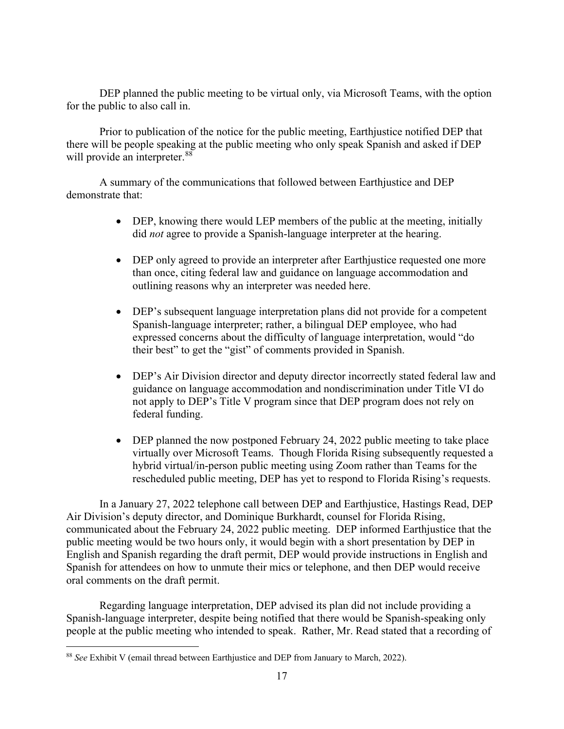DEP planned the public meeting to be virtual only, via Microsoft Teams, with the option for the public to also call in.

Prior to publication of the notice for the public meeting, Earthjustice notified DEP that there will be people speaking at the public meeting who only speak Spanish and asked if DEP will provide an interpreter.<sup>[88](#page-16-0)</sup>

A summary of the communications that followed between Earthjustice and DEP demonstrate that:

- DEP, knowing there would LEP members of the public at the meeting, initially did *not* agree to provide a Spanish-language interpreter at the hearing.
- DEP only agreed to provide an interpreter after Earthjustice requested one more than once, citing federal law and guidance on language accommodation and outlining reasons why an interpreter was needed here.
- DEP's subsequent language interpretation plans did not provide for a competent Spanish-language interpreter; rather, a bilingual DEP employee, who had expressed concerns about the difficulty of language interpretation, would "do their best" to get the "gist" of comments provided in Spanish.
- DEP's Air Division director and deputy director incorrectly stated federal law and guidance on language accommodation and nondiscrimination under Title VI do not apply to DEP's Title V program since that DEP program does not rely on federal funding.
- DEP planned the now postponed February 24, 2022 public meeting to take place virtually over Microsoft Teams. Though Florida Rising subsequently requested a hybrid virtual/in-person public meeting using Zoom rather than Teams for the rescheduled public meeting, DEP has yet to respond to Florida Rising's requests.

In a January 27, 2022 telephone call between DEP and Earthjustice, Hastings Read, DEP Air Division's deputy director, and Dominique Burkhardt, counsel for Florida Rising, communicated about the February 24, 2022 public meeting. DEP informed Earthjustice that the public meeting would be two hours only, it would begin with a short presentation by DEP in English and Spanish regarding the draft permit, DEP would provide instructions in English and Spanish for attendees on how to unmute their mics or telephone, and then DEP would receive oral comments on the draft permit.

Regarding language interpretation, DEP advised its plan did not include providing a Spanish-language interpreter, despite being notified that there would be Spanish-speaking only people at the public meeting who intended to speak. Rather, Mr. Read stated that a recording of

<span id="page-16-0"></span><sup>88</sup> *See* Exhibit V (email thread between Earthjustice and DEP from January to March, 2022).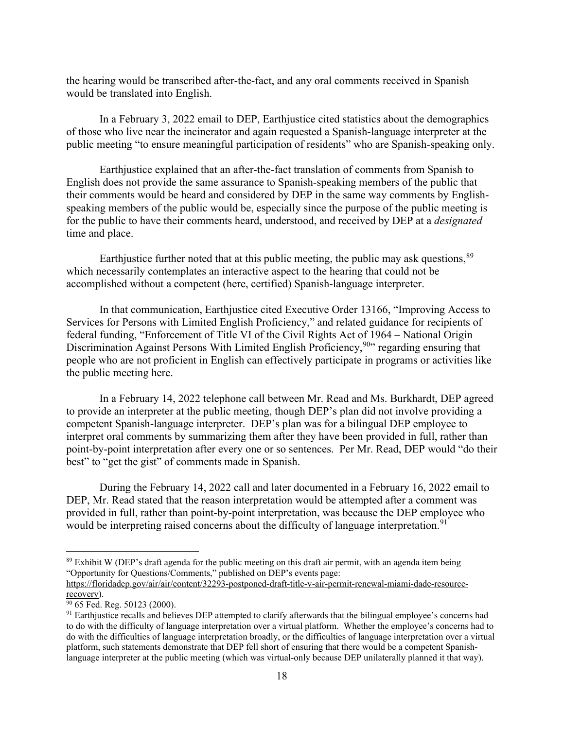the hearing would be transcribed after-the-fact, and any oral comments received in Spanish would be translated into English.

In a February 3, 2022 email to DEP, Earthjustice cited statistics about the demographics of those who live near the incinerator and again requested a Spanish-language interpreter at the public meeting "to ensure meaningful participation of residents" who are Spanish-speaking only.

Earthjustice explained that an after-the-fact translation of comments from Spanish to English does not provide the same assurance to Spanish-speaking members of the public that their comments would be heard and considered by DEP in the same way comments by Englishspeaking members of the public would be, especially since the purpose of the public meeting is for the public to have their comments heard, understood, and received by DEP at a *designated* time and place.

Earthjustice further noted that at this public meeting, the public may ask questions,<sup>[89](#page-17-0)</sup> which necessarily contemplates an interactive aspect to the hearing that could not be accomplished without a competent (here, certified) Spanish-language interpreter.

In that communication, Earthjustice cited Executive Order 13166, "Improving Access to Services for Persons with Limited English Proficiency," and related guidance for recipients of federal funding, "Enforcement of Title VI of the Civil Rights Act of 1964 – National Origin Discrimination Against Persons With Limited English Proficiency,<sup>[90](#page-17-1)</sup>" regarding ensuring that people who are not proficient in English can effectively participate in programs or activities like the public meeting here.

In a February 14, 2022 telephone call between Mr. Read and Ms. Burkhardt, DEP agreed to provide an interpreter at the public meeting, though DEP's plan did not involve providing a competent Spanish-language interpreter. DEP's plan was for a bilingual DEP employee to interpret oral comments by summarizing them after they have been provided in full, rather than point-by-point interpretation after every one or so sentences. Per Mr. Read, DEP would "do their best" to "get the gist" of comments made in Spanish.

During the February 14, 2022 call and later documented in a February 16, 2022 email to DEP, Mr. Read stated that the reason interpretation would be attempted after a comment was provided in full, rather than point-by-point interpretation, was because the DEP employee who would be interpreting raised concerns about the difficulty of language interpretation.<sup>[91](#page-17-2)</sup>

<span id="page-17-0"></span><sup>&</sup>lt;sup>89</sup> Exhibit W (DEP's draft agenda for the public meeting on this draft air permit, with an agenda item being "Opportunity for Questions/Comments," published on DEP's events page:

https://floridadep.gov/air/air/content/32293-postponed-draft-title-v-air-permit-renewal-miami-dade-resource-<br>recovery).

<span id="page-17-1"></span> $\frac{90}{65}$  Fed. Reg. 50123 (2000).

<span id="page-17-2"></span> $91$  Earthjustice recalls and believes DEP attempted to clarify afterwards that the bilingual employee's concerns had to do with the difficulty of language interpretation over a virtual platform. Whether the employee's concerns had to do with the difficulties of language interpretation broadly, or the difficulties of language interpretation over a virtual platform, such statements demonstrate that DEP fell short of ensuring that there would be a competent Spanishlanguage interpreter at the public meeting (which was virtual-only because DEP unilaterally planned it that way).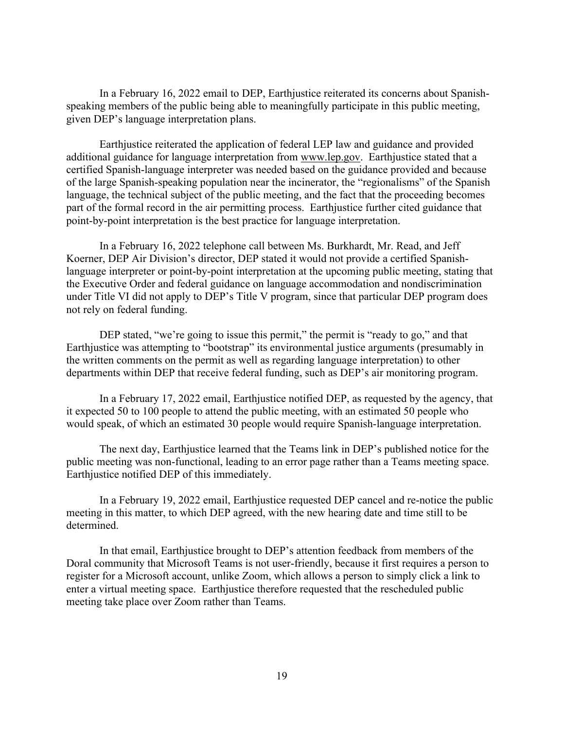In a February 16, 2022 email to DEP, Earthjustice reiterated its concerns about Spanishspeaking members of the public being able to meaningfully participate in this public meeting, given DEP's language interpretation plans.

Earthjustice reiterated the application of federal LEP law and guidance and provided additional guidance for language interpretation from [www.lep.gov.](http://www.lep.gov/) Earthjustice stated that a certified Spanish-language interpreter was needed based on the guidance provided and because of the large Spanish-speaking population near the incinerator, the "regionalisms" of the Spanish language, the technical subject of the public meeting, and the fact that the proceeding becomes part of the formal record in the air permitting process. Earthjustice further cited guidance that point-by-point interpretation is the best practice for language interpretation.

In a February 16, 2022 telephone call between Ms. Burkhardt, Mr. Read, and Jeff Koerner, DEP Air Division's director, DEP stated it would not provide a certified Spanishlanguage interpreter or point-by-point interpretation at the upcoming public meeting, stating that the Executive Order and federal guidance on language accommodation and nondiscrimination under Title VI did not apply to DEP's Title V program, since that particular DEP program does not rely on federal funding.

DEP stated, "we're going to issue this permit," the permit is "ready to go," and that Earthjustice was attempting to "bootstrap" its environmental justice arguments (presumably in the written comments on the permit as well as regarding language interpretation) to other departments within DEP that receive federal funding, such as DEP's air monitoring program.

In a February 17, 2022 email, Earthjustice notified DEP, as requested by the agency, that it expected 50 to 100 people to attend the public meeting, with an estimated 50 people who would speak, of which an estimated 30 people would require Spanish-language interpretation.

The next day, Earthjustice learned that the Teams link in DEP's published notice for the public meeting was non-functional, leading to an error page rather than a Teams meeting space. Earthjustice notified DEP of this immediately.

In a February 19, 2022 email, Earthjustice requested DEP cancel and re-notice the public meeting in this matter, to which DEP agreed, with the new hearing date and time still to be determined.

In that email, Earthjustice brought to DEP's attention feedback from members of the Doral community that Microsoft Teams is not user-friendly, because it first requires a person to register for a Microsoft account, unlike Zoom, which allows a person to simply click a link to enter a virtual meeting space. Earthjustice therefore requested that the rescheduled public meeting take place over Zoom rather than Teams.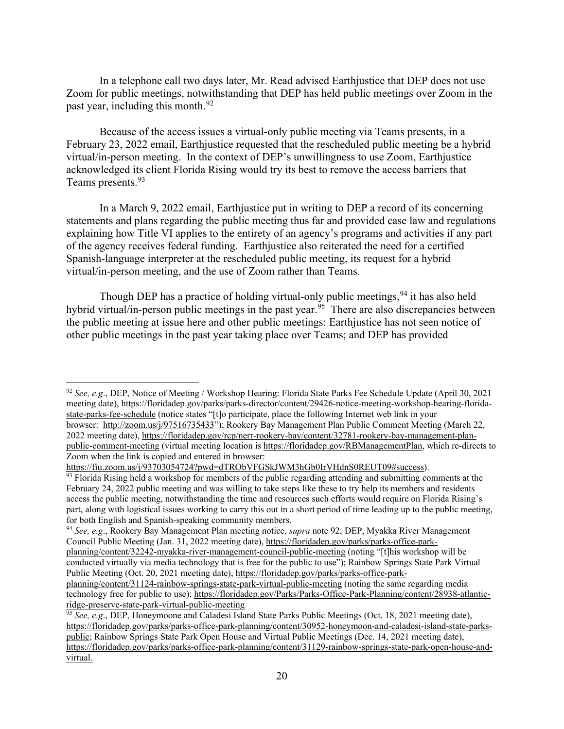In a telephone call two days later, Mr. Read advised Earthjustice that DEP does not use Zoom for public meetings, notwithstanding that DEP has held public meetings over Zoom in the past year, including this month.<sup>[92](#page-19-0)</sup>

Because of the access issues a virtual-only public meeting via Teams presents, in a February 23, 2022 email, Earthjustice requested that the rescheduled public meeting be a hybrid virtual/in-person meeting. In the context of DEP's unwillingness to use Zoom, Earthjustice acknowledged its client Florida Rising would try its best to remove the access barriers that Teams presents.<sup>[93](#page-19-1)</sup>

In a March 9, 2022 email, Earthjustice put in writing to DEP a record of its concerning statements and plans regarding the public meeting thus far and provided case law and regulations explaining how Title VI applies to the entirety of an agency's programs and activities if any part of the agency receives federal funding. Earthjustice also reiterated the need for a certified Spanish-language interpreter at the rescheduled public meeting, its request for a hybrid virtual/in-person meeting, and the use of Zoom rather than Teams.

Though DEP has a practice of holding virtual-only public meetings, <sup>[94](#page-19-2)</sup> it has also held hybrid virtual/in-person public meetings in the past year.<sup>[95](#page-19-3)</sup> There are also discrepancies between the public meeting at issue here and other public meetings: Earthjustice has not seen notice of other public meetings in the past year taking place over Teams; and DEP has provided

<span id="page-19-0"></span><sup>92</sup> *See, e.g*., DEP, Notice of Meeting / Workshop Hearing: Florida State Parks Fee Schedule Update (April 30, 2021 meeting date)[, https://floridadep.gov/parks/parks-director/content/29426-notice-meeting-workshop-hearing-florida](https://floridadep.gov/parks/parks-director/content/29426-notice-meeting-workshop-hearing-florida-state-parks-fee-schedule)[state-parks-fee-schedule](https://floridadep.gov/parks/parks-director/content/29426-notice-meeting-workshop-hearing-florida-state-parks-fee-schedule) (notice states "[t]o participate, place the following Internet web link in your browser: [http://zoom.us/j/97516735433"](http://zoom.us/j/97516735433)); Rookery Bay Management Plan Public Comment Meeting (March 22, 2022 meeting date), [https://floridadep.gov/rcp/nerr-rookery-bay/content/32781-rookery-bay-management-plan](https://floridadep.gov/rcp/nerr-rookery-bay/content/32781-rookery-bay-management-plan-public-comment-meeting)[public-comment-meeting](https://floridadep.gov/rcp/nerr-rookery-bay/content/32781-rookery-bay-management-plan-public-comment-meeting) (virtual meeting location is [https://floridadep.gov/RBManagementPlan,](https://floridadep.gov/RBManagementPlan) which re-directs to Zoom when the link is copied and entered in browser:

[https://fiu.zoom.us/j/93703054724?pwd=dTRObVFGSkJWM3hGb0IrVHdnS0REUT09#success\)](https://fiu.zoom.us/j/93703054724?pwd=dTRObVFGSkJWM3hGb0IrVHdnS0REUT09#success).<br><sup>93</sup> Florida Rising held a workshop for members of the public regarding attending and submitting comments at the

<span id="page-19-1"></span>February 24, 2022 public meeting and was willing to take steps like these to try help its members and residents access the public meeting, notwithstanding the time and resources such efforts would require on Florida Rising's part, along with logistical issues working to carry this out in a short period of time leading up to the public meeting, for both English and Spanish-speaking community members. 94 *See, e.g*., Rookery Bay Management Plan meeting notice, *supra* note 92; DEP, Myakka River Management

<span id="page-19-2"></span>Council Public Meeting (Jan. 31, 2022 meeting date), [https://floridadep.gov/parks/parks-office-park](https://floridadep.gov/parks/parks-office-park-planning/content/32242-myakka-river-management-council-public-meeting)[planning/content/32242-myakka-river-management-council-public-meeting](https://floridadep.gov/parks/parks-office-park-planning/content/32242-myakka-river-management-council-public-meeting) (noting "[t]his workshop will be

conducted virtually via media technology that is free for the public to use"); Rainbow Springs State Park Virtual Public Meeting (Oct. 20, 2021 meeting date), [https://floridadep.gov/parks/parks-office-park-](https://floridadep.gov/parks/parks-office-park-planning/content/31124-rainbow-springs-state-park-virtual-public-meeting)

[planning/content/31124-rainbow-springs-state-park-virtual-public-meeting](https://floridadep.gov/parks/parks-office-park-planning/content/31124-rainbow-springs-state-park-virtual-public-meeting) (noting the same regarding media technology free for public to use); [https://floridadep.gov/Parks/Parks-Office-Park-Planning/content/28938-atlantic](https://floridadep.gov/Parks/Parks-Office-Park-Planning/content/28938-atlantic-ridge-preserve-state-park-virtual-public-meeting)[ridge-preserve-state-park-virtual-public-meeting](https://floridadep.gov/Parks/Parks-Office-Park-Planning/content/28938-atlantic-ridge-preserve-state-park-virtual-public-meeting)

<span id="page-19-3"></span><sup>95</sup> *See, e.g*., DEP, Honeymoone and Caladesi Island State Parks Public Meetings (Oct. 18, 2021 meeting date), [https://floridadep.gov/parks/parks-office-park-planning/content/30952-honeymoon-and-caladesi-island-state-parks](https://floridadep.gov/parks/parks-office-park-planning/content/30952-honeymoon-and-caladesi-island-state-parks-public)[public;](https://floridadep.gov/parks/parks-office-park-planning/content/30952-honeymoon-and-caladesi-island-state-parks-public) Rainbow Springs State Park Open House and Virtual Public Meetings (Dec. 14, 2021 meeting date), [https://floridadep.gov/parks/parks-office-park-planning/content/31129-rainbow-springs-state-park-open-house-and](https://floridadep.gov/parks/parks-office-park-planning/content/31129-rainbow-springs-state-park-open-house-and-virtual)[virtual.](https://floridadep.gov/parks/parks-office-park-planning/content/31129-rainbow-springs-state-park-open-house-and-virtual)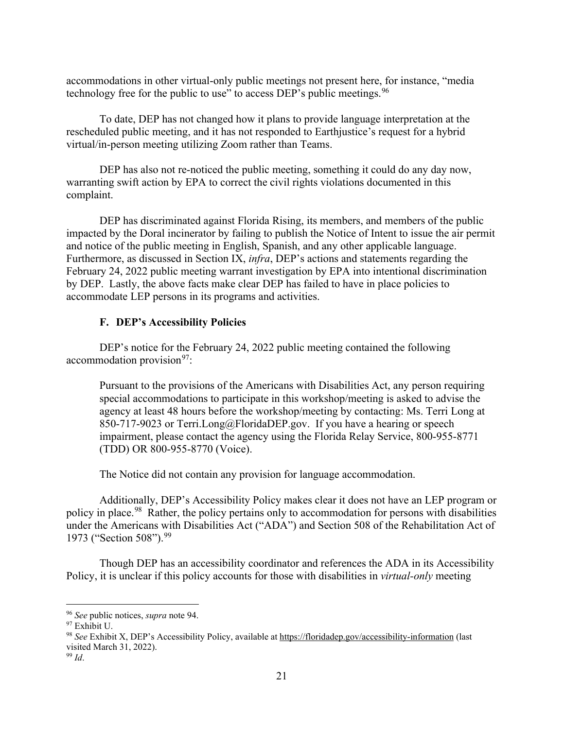accommodations in other virtual-only public meetings not present here, for instance, "media technology free for the public to use" to access DEP's public meetings.  $96$ 

To date, DEP has not changed how it plans to provide language interpretation at the rescheduled public meeting, and it has not responded to Earthjustice's request for a hybrid virtual/in-person meeting utilizing Zoom rather than Teams.

DEP has also not re-noticed the public meeting, something it could do any day now, warranting swift action by EPA to correct the civil rights violations documented in this complaint.

DEP has discriminated against Florida Rising, its members, and members of the public impacted by the Doral incinerator by failing to publish the Notice of Intent to issue the air permit and notice of the public meeting in English, Spanish, and any other applicable language. Furthermore, as discussed in Section IX, *infra*, DEP's actions and statements regarding the February 24, 2022 public meeting warrant investigation by EPA into intentional discrimination by DEP. Lastly, the above facts make clear DEP has failed to have in place policies to accommodate LEP persons in its programs and activities.

## **F. DEP's Accessibility Policies**

DEP's notice for the February 24, 2022 public meeting contained the following  $a$ ccommodation provision<sup>97</sup>:

Pursuant to the provisions of the Americans with Disabilities Act, any person requiring special accommodations to participate in this workshop/meeting is asked to advise the agency at least 48 hours before the workshop/meeting by contacting: Ms. Terri Long at 850-717-9023 or Terri.Long@FloridaDEP.gov. If you have a hearing or speech impairment, please contact the agency using the Florida Relay Service, 800-955-8771 (TDD) OR 800-955-8770 (Voice).

The Notice did not contain any provision for language accommodation.

Additionally, DEP's Accessibility Policy makes clear it does not have an LEP program or policy in place.<sup>[98](#page-20-2)</sup> Rather, the policy pertains only to accommodation for persons with disabilities under the Americans with Disabilities Act ("ADA") and Section 508 of the Rehabilitation Act of 1973 ("Section 508").<sup>[99](#page-20-3)</sup>

Though DEP has an accessibility coordinator and references the ADA in its Accessibility Policy, it is unclear if this policy accounts for those with disabilities in *virtual-only* meeting

<span id="page-20-1"></span><span id="page-20-0"></span><sup>96</sup> *See* public notices, *supra* note 94.

<span id="page-20-2"></span><sup>&</sup>lt;sup>98</sup> See Exhibit X, DEP's Accessibility Policy, available a[t https://floridadep.gov/accessibility-information](https://floridadep.gov/accessibility-information) (last visited March 31, 2022).

<span id="page-20-3"></span><sup>99</sup> *Id*.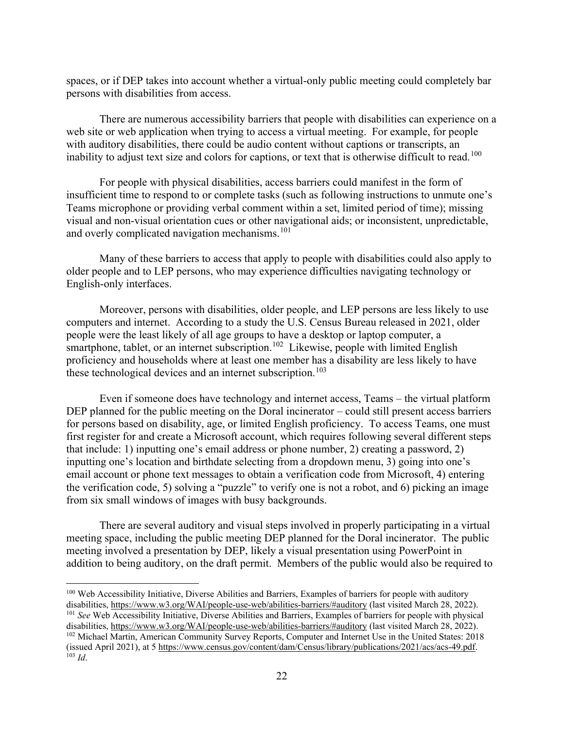spaces, or if DEP takes into account whether a virtual-only public meeting could completely bar persons with disabilities from access.

There are numerous accessibility barriers that people with disabilities can experience on a web site or web application when trying to access a virtual meeting. For example, for people with auditory disabilities, there could be audio content without captions or transcripts, an inability to adjust text size and colors for captions, or text that is otherwise difficult to read.<sup>[100](#page-21-0)</sup>

For people with physical disabilities, access barriers could manifest in the form of insufficient time to respond to or complete tasks (such as following instructions to unmute one's Teams microphone or providing verbal comment within a set, limited period of time); missing visual and non-visual orientation cues or other navigational aids; or inconsistent, unpredictable, and overly complicated navigation mechanisms.<sup>[101](#page-21-1)</sup>

Many of these barriers to access that apply to people with disabilities could also apply to older people and to LEP persons, who may experience difficulties navigating technology or English-only interfaces.

Moreover, persons with disabilities, older people, and LEP persons are less likely to use computers and internet. According to a study the U.S. Census Bureau released in 2021, older people were the least likely of all age groups to have a desktop or laptop computer, a smartphone, tablet, or an internet subscription.<sup>[102](#page-21-2)</sup> Likewise, people with limited English proficiency and households where at least one member has a disability are less likely to have these technological devices and an internet subscription.<sup>103</sup>

Even if someone does have technology and internet access, Teams – the virtual platform DEP planned for the public meeting on the Doral incinerator – could still present access barriers for persons based on disability, age, or limited English proficiency. To access Teams, one must first register for and create a Microsoft account, which requires following several different steps that include: 1) inputting one's email address or phone number, 2) creating a password, 2) inputting one's location and birthdate selecting from a dropdown menu, 3) going into one's email account or phone text messages to obtain a verification code from Microsoft, 4) entering the verification code, 5) solving a "puzzle" to verify one is not a robot, and 6) picking an image from six small windows of images with busy backgrounds.

There are several auditory and visual steps involved in properly participating in a virtual meeting space, including the public meeting DEP planned for the Doral incinerator. The public meeting involved a presentation by DEP, likely a visual presentation using PowerPoint in addition to being auditory, on the draft permit. Members of the public would also be required to

<span id="page-21-0"></span><sup>&</sup>lt;sup>100</sup> Web Accessibility Initiative, Diverse Abilities and Barriers, Examples of barriers for people with auditory disabilities, https://www.w3.org/WAI/people-use-web/abilities-barriers/#auditory (last visited March 28, 202

<span id="page-21-3"></span><span id="page-21-2"></span><span id="page-21-1"></span><sup>&</sup>lt;sup>101</sup> See Web Accessibility Initiative, Diverse Abilities and Barriers, Examples of barriers for people with physical disabilities,<https://www.w3.org/WAI/people-use-web/abilities-barriers/#auditory> (last visited March 28, 2022). <sup>102</sup> Michael Martin, American Community Survey Reports, Computer and Internet Use in the United States: 2018 (issued April 2021), at 5 [https://www.census.gov/content/dam/Census/library/publications/2021/acs/acs-49.pdf.](https://www.census.gov/content/dam/Census/library/publications/2021/acs/acs-49.pdf)  $^{103}$  *Id.*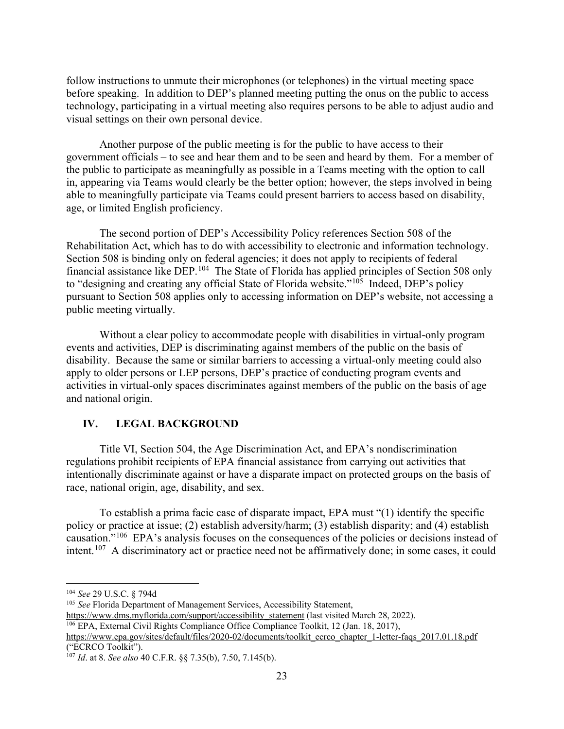follow instructions to unmute their microphones (or telephones) in the virtual meeting space before speaking. In addition to DEP's planned meeting putting the onus on the public to access technology, participating in a virtual meeting also requires persons to be able to adjust audio and visual settings on their own personal device.

Another purpose of the public meeting is for the public to have access to their government officials – to see and hear them and to be seen and heard by them. For a member of the public to participate as meaningfully as possible in a Teams meeting with the option to call in, appearing via Teams would clearly be the better option; however, the steps involved in being able to meaningfully participate via Teams could present barriers to access based on disability, age, or limited English proficiency.

The second portion of DEP's Accessibility Policy references Section 508 of the Rehabilitation Act, which has to do with accessibility to electronic and information technology. Section 508 is binding only on federal agencies; it does not apply to recipients of federal financial assistance like DEP.<sup>[104](#page-22-0)</sup> The State of Florida has applied principles of Section 508 only to "designing and creating any official State of Florida website."<sup>[105](#page-22-1)</sup> Indeed, DEP's policy pursuant to Section 508 applies only to accessing information on DEP's website, not accessing a public meeting virtually.

Without a clear policy to accommodate people with disabilities in virtual-only program events and activities, DEP is discriminating against members of the public on the basis of disability. Because the same or similar barriers to accessing a virtual-only meeting could also apply to older persons or LEP persons, DEP's practice of conducting program events and activities in virtual-only spaces discriminates against members of the public on the basis of age and national origin.

## **IV. LEGAL BACKGROUND**

Title VI, Section 504, the Age Discrimination Act, and EPA's nondiscrimination regulations prohibit recipients of EPA financial assistance from carrying out activities that intentionally discriminate against or have a disparate impact on protected groups on the basis of race, national origin, age, disability, and sex.

To establish a prima facie case of disparate impact, EPA must "(1) identify the specific policy or practice at issue; (2) establish adversity/harm; (3) establish disparity; and (4) establish causation."[106](#page-22-2) EPA's analysis focuses on the consequences of the policies or decisions instead of intent.<sup>[107](#page-22-3)</sup> A discriminatory act or practice need not be affirmatively done; in some cases, it could

<span id="page-22-1"></span><sup>105</sup> See Florida Department of Management Services, Accessibility Statement,<br>https://www.dms.myflorida.com/support/accessibility statement (last visited March 28, 2022).

<span id="page-22-2"></span><sup>106</sup> EPA, External Civil Rights Compliance Office Compliance Toolkit, 12 (Jan. 18, 2017),

[https://www.epa.gov/sites/default/files/2020-02/documents/toolkit\\_ecrco\\_chapter\\_1-letter-faqs\\_2017.01.18.pdf](https://www.epa.gov/sites/default/files/2020-02/documents/toolkit_ecrco_chapter_1-letter-faqs_2017.01.18.pdf) ("ECRCO Toolkit").

<span id="page-22-0"></span><sup>104</sup> *See* 29 U.S.C. § 794d

<span id="page-22-3"></span><sup>107</sup> *Id*. at 8. *See also* 40 C.F.R. §§ 7.35(b), 7.50, 7.145(b).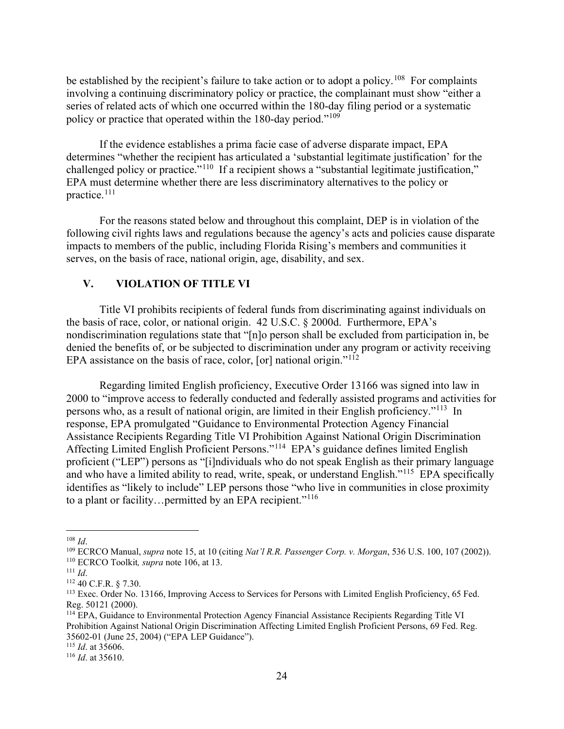be established by the recipient's failure to take action or to adopt a policy.<sup>[108](#page-23-0)</sup> For complaints involving a continuing discriminatory policy or practice, the complainant must show "either a series of related acts of which one occurred within the 180-day filing period or a systematic policy or practice that operated within the 180-day period."[109](#page-23-1)

If the evidence establishes a prima facie case of adverse disparate impact, EPA determines "whether the recipient has articulated a 'substantial legitimate justification' for the challenged policy or practice."<sup>[110](#page-23-2)</sup> If a recipient shows a "substantial legitimate justification," EPA must determine whether there are less discriminatory alternatives to the policy or practice.[111](#page-23-3)

For the reasons stated below and throughout this complaint, DEP is in violation of the following civil rights laws and regulations because the agency's acts and policies cause disparate impacts to members of the public, including Florida Rising's members and communities it serves, on the basis of race, national origin, age, disability, and sex.

### **V. VIOLATION OF TITLE VI**

Title VI prohibits recipients of federal funds from discriminating against individuals on the basis of race, color, or national origin. 42 U.S.C. § 2000d. Furthermore, EPA's nondiscrimination regulations state that "[n]o person shall be excluded from participation in, be denied the benefits of, or be subjected to discrimination under any program or activity receiving EPA assistance on the basis of race, color, [or] national origin." $112$ 

Regarding limited English proficiency, Executive Order 13166 was signed into law in 2000 to "improve access to federally conducted and federally assisted programs and activities for persons who, as a result of national origin, are limited in their English proficiency."[113](#page-23-5) In response, EPA promulgated "Guidance to Environmental Protection Agency Financial Assistance Recipients Regarding Title VI Prohibition Against National Origin Discrimination Affecting Limited English Proficient Persons."[114](#page-23-6) EPA's guidance defines limited English proficient ("LEP") persons as "[i]ndividuals who do not speak English as their primary language and who have a limited ability to read, write, speak, or understand English."<sup>115</sup> EPA specifically identifies as "likely to include" LEP persons those "who live in communities in close proximity to a plant or facility...permitted by an EPA recipient."<sup>[116](#page-23-8)</sup>

<span id="page-23-1"></span><span id="page-23-0"></span><sup>&</sup>lt;sup>108</sup> *Id.*<br><sup>109</sup> ECRCO Manual, *supra* note 15, at 10 (citing *Nat'l R.R. Passenger Corp. v. Morgan*, 536 U.S. 100, 107 (2002)).<br><sup>110</sup> ECRCO Toolkit, *supra* note 106, at 13.<br><sup>111</sup> *Id.*<br><sup>112</sup> 40 C.F.R. § 7.30.

<span id="page-23-3"></span><span id="page-23-2"></span>

<span id="page-23-5"></span><span id="page-23-4"></span><sup>113</sup> Exec. Order No. 13166, Improving Access to Services for Persons with Limited English Proficiency, 65 Fed. Reg. 50121 (2000).

<span id="page-23-6"></span><sup>114</sup> EPA, Guidance to Environmental Protection Agency Financial Assistance Recipients Regarding Title VI Prohibition Against National Origin Discrimination Affecting Limited English Proficient Persons, 69 Fed. Reg. 35602-01 (June 25, 2004) ("EPA LEP Guidance"). 115 *Id*. at 35606. 116 *Id*. at 35610.

<span id="page-23-8"></span><span id="page-23-7"></span>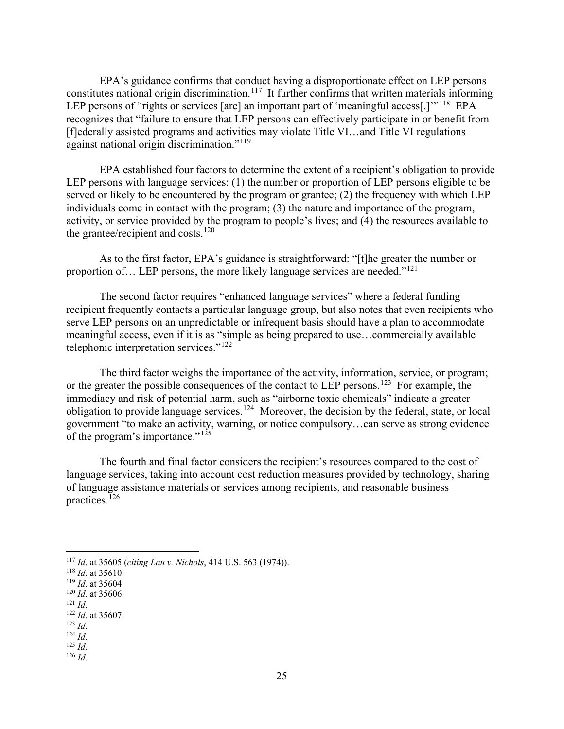EPA's guidance confirms that conduct having a disproportionate effect on LEP persons constitutes national origin discrimination.<sup>117</sup> It further confirms that written materials informing LEP persons of "rights or services [are] an important part of 'meaningful access[.]"<sup>118</sup> EPA recognizes that "failure to ensure that LEP persons can effectively participate in or benefit from [f]ederally assisted programs and activities may violate Title VI…and Title VI regulations against national origin discrimination."[119](#page-24-2)

EPA established four factors to determine the extent of a recipient's obligation to provide LEP persons with language services: (1) the number or proportion of LEP persons eligible to be served or likely to be encountered by the program or grantee; (2) the frequency with which LEP individuals come in contact with the program; (3) the nature and importance of the program, activity, or service provided by the program to people's lives; and (4) the resources available to the grantee/recipient and costs. $120$ 

As to the first factor, EPA's guidance is straightforward: "[t]he greater the number or proportion of... LEP persons, the more likely language services are needed."<sup>121</sup>

The second factor requires "enhanced language services" where a federal funding recipient frequently contacts a particular language group, but also notes that even recipients who serve LEP persons on an unpredictable or infrequent basis should have a plan to accommodate meaningful access, even if it is as "simple as being prepared to use…commercially available telephonic interpretation services."[122](#page-24-5)

The third factor weighs the importance of the activity, information, service, or program; or the greater the possible consequences of the contact to LEP persons.<sup>[123](#page-24-6)</sup> For example, the immediacy and risk of potential harm, such as "airborne toxic chemicals" indicate a greater obligation to provide language services.[124](#page-24-7) Moreover, the decision by the federal, state, or local government "to make an activity, warning, or notice compulsory…can serve as strong evidence of the program's importance." $125$ 

The fourth and final factor considers the recipient's resources compared to the cost of language services, taking into account cost reduction measures provided by technology, sharing of language assistance materials or services among recipients, and reasonable business practices.<sup> $126$ </sup>

<span id="page-24-6"></span>

<span id="page-24-9"></span>

<span id="page-24-1"></span><span id="page-24-0"></span><sup>117</sup> *Id.* at 35605 (*citing Lau v. Nichols*, 414 U.S. 563 (1974)).<br>
<sup>118</sup> *Id.* at 35610.<br>
<sup>119</sup> *Id.* at 35606.<br>
<sup>121</sup> *Id.*<br>
<sup>122</sup> *Id.* at 35607.<br>
<sup>123</sup> *Id.* 

<span id="page-24-2"></span>

<span id="page-24-3"></span>

<span id="page-24-5"></span><span id="page-24-4"></span>

<span id="page-24-8"></span><span id="page-24-7"></span><sup>123</sup> *Id*. 124 *Id*. 125 *Id*. 126 *Id*.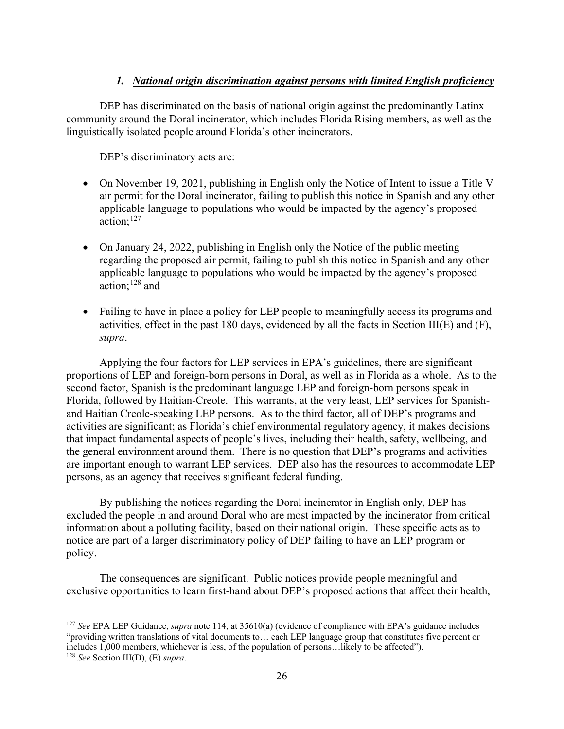# *1. National origin discrimination against persons with limited English proficiency*

DEP has discriminated on the basis of national origin against the predominantly Latinx community around the Doral incinerator, which includes Florida Rising members, as well as the linguistically isolated people around Florida's other incinerators.

DEP's discriminatory acts are:

- On November 19, 2021, publishing in English only the Notice of Intent to issue a Title V air permit for the Doral incinerator, failing to publish this notice in Spanish and any other applicable language to populations who would be impacted by the agency's proposed action; [127](#page-25-0)
- On January 24, 2022, publishing in English only the Notice of the public meeting regarding the proposed air permit, failing to publish this notice in Spanish and any other applicable language to populations who would be impacted by the agency's proposed action; [128](#page-25-1) and
- Failing to have in place a policy for LEP people to meaningfully access its programs and activities, effect in the past 180 days, evidenced by all the facts in Section III(E) and (F), *supra*.

Applying the four factors for LEP services in EPA's guidelines, there are significant proportions of LEP and foreign-born persons in Doral, as well as in Florida as a whole. As to the second factor, Spanish is the predominant language LEP and foreign-born persons speak in Florida, followed by Haitian-Creole. This warrants, at the very least, LEP services for Spanishand Haitian Creole-speaking LEP persons. As to the third factor, all of DEP's programs and activities are significant; as Florida's chief environmental regulatory agency, it makes decisions that impact fundamental aspects of people's lives, including their health, safety, wellbeing, and the general environment around them. There is no question that DEP's programs and activities are important enough to warrant LEP services. DEP also has the resources to accommodate LEP persons, as an agency that receives significant federal funding.

By publishing the notices regarding the Doral incinerator in English only, DEP has excluded the people in and around Doral who are most impacted by the incinerator from critical information about a polluting facility, based on their national origin. These specific acts as to notice are part of a larger discriminatory policy of DEP failing to have an LEP program or policy.

The consequences are significant. Public notices provide people meaningful and exclusive opportunities to learn first-hand about DEP's proposed actions that affect their health,

<span id="page-25-0"></span><sup>127</sup> *See* EPA LEP Guidance, *supra* note 114, at 35610(a) (evidence of compliance with EPA's guidance includes "providing written translations of vital documents to… each LEP language group that constitutes five percent or includes 1,000 members, whichever is less, of the population of persons…likely to be affected"). 128 *See* Section III(D), (E) *supra*.

<span id="page-25-1"></span>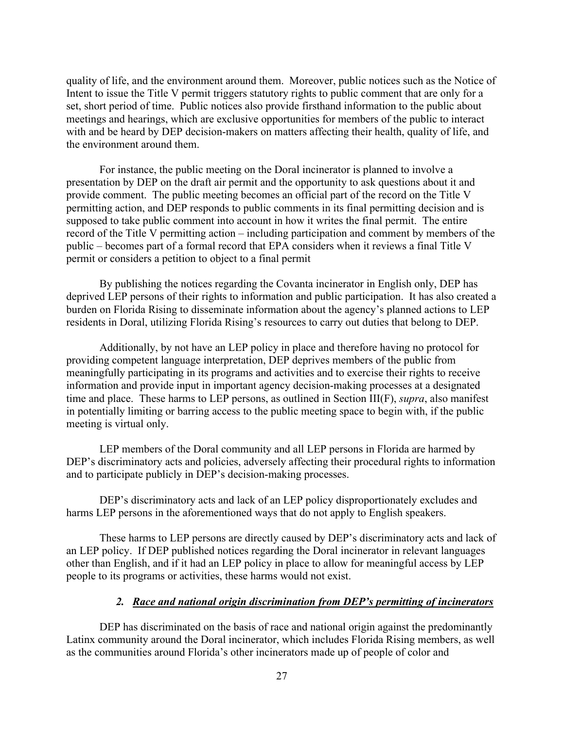quality of life, and the environment around them. Moreover, public notices such as the Notice of Intent to issue the Title V permit triggers statutory rights to public comment that are only for a set, short period of time. Public notices also provide firsthand information to the public about meetings and hearings, which are exclusive opportunities for members of the public to interact with and be heard by DEP decision-makers on matters affecting their health, quality of life, and the environment around them.

For instance, the public meeting on the Doral incinerator is planned to involve a presentation by DEP on the draft air permit and the opportunity to ask questions about it and provide comment. The public meeting becomes an official part of the record on the Title V permitting action, and DEP responds to public comments in its final permitting decision and is supposed to take public comment into account in how it writes the final permit. The entire record of the Title V permitting action – including participation and comment by members of the public – becomes part of a formal record that EPA considers when it reviews a final Title V permit or considers a petition to object to a final permit

By publishing the notices regarding the Covanta incinerator in English only, DEP has deprived LEP persons of their rights to information and public participation. It has also created a burden on Florida Rising to disseminate information about the agency's planned actions to LEP residents in Doral, utilizing Florida Rising's resources to carry out duties that belong to DEP.

Additionally, by not have an LEP policy in place and therefore having no protocol for providing competent language interpretation, DEP deprives members of the public from meaningfully participating in its programs and activities and to exercise their rights to receive information and provide input in important agency decision-making processes at a designated time and place. These harms to LEP persons, as outlined in Section III(F), *supra*, also manifest in potentially limiting or barring access to the public meeting space to begin with, if the public meeting is virtual only.

LEP members of the Doral community and all LEP persons in Florida are harmed by DEP's discriminatory acts and policies, adversely affecting their procedural rights to information and to participate publicly in DEP's decision-making processes.

DEP's discriminatory acts and lack of an LEP policy disproportionately excludes and harms LEP persons in the aforementioned ways that do not apply to English speakers.

These harms to LEP persons are directly caused by DEP's discriminatory acts and lack of an LEP policy. If DEP published notices regarding the Doral incinerator in relevant languages other than English, and if it had an LEP policy in place to allow for meaningful access by LEP people to its programs or activities, these harms would not exist.

### *2. Race and national origin discrimination from DEP's permitting of incinerators*

DEP has discriminated on the basis of race and national origin against the predominantly Latinx community around the Doral incinerator, which includes Florida Rising members, as well as the communities around Florida's other incinerators made up of people of color and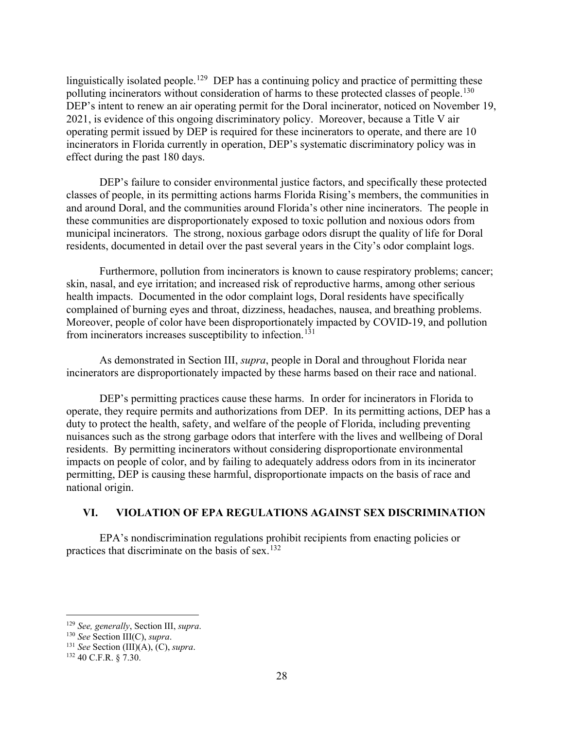linguistically isolated people.<sup>129</sup> DEP has a continuing policy and practice of permitting these polluting incinerators without consideration of harms to these protected classes of people.<sup>[130](#page-27-1)</sup> DEP's intent to renew an air operating permit for the Doral incinerator, noticed on November 19, 2021, is evidence of this ongoing discriminatory policy. Moreover, because a Title V air operating permit issued by DEP is required for these incinerators to operate, and there are 10 incinerators in Florida currently in operation, DEP's systematic discriminatory policy was in effect during the past 180 days.

DEP's failure to consider environmental justice factors, and specifically these protected classes of people, in its permitting actions harms Florida Rising's members, the communities in and around Doral, and the communities around Florida's other nine incinerators. The people in these communities are disproportionately exposed to toxic pollution and noxious odors from municipal incinerators. The strong, noxious garbage odors disrupt the quality of life for Doral residents, documented in detail over the past several years in the City's odor complaint logs.

Furthermore, pollution from incinerators is known to cause respiratory problems; cancer; skin, nasal, and eye irritation; and increased risk of reproductive harms, among other serious health impacts. Documented in the odor complaint logs, Doral residents have specifically complained of burning eyes and throat, dizziness, headaches, nausea, and breathing problems. Moreover, people of color have been disproportionately impacted by COVID-19, and pollution from incinerators increases susceptibility to infection.<sup>[131](#page-27-2)</sup>

As demonstrated in Section III, *supra*, people in Doral and throughout Florida near incinerators are disproportionately impacted by these harms based on their race and national.

DEP's permitting practices cause these harms. In order for incinerators in Florida to operate, they require permits and authorizations from DEP. In its permitting actions, DEP has a duty to protect the health, safety, and welfare of the people of Florida, including preventing nuisances such as the strong garbage odors that interfere with the lives and wellbeing of Doral residents. By permitting incinerators without considering disproportionate environmental impacts on people of color, and by failing to adequately address odors from in its incinerator permitting, DEP is causing these harmful, disproportionate impacts on the basis of race and national origin.

## **VI. VIOLATION OF EPA REGULATIONS AGAINST SEX DISCRIMINATION**

EPA's nondiscrimination regulations prohibit recipients from enacting policies or practices that discriminate on the basis of sex.<sup>[132](#page-27-3)</sup>

<span id="page-27-0"></span><sup>129</sup> *See, generally*, Section III, *supra*. 130 *See* Section III(C), *supra*. 131 *See* Section (III)(A), (C), *supra*. 132 40 C.F.R. § 7.30.

<span id="page-27-1"></span>

<span id="page-27-3"></span><span id="page-27-2"></span>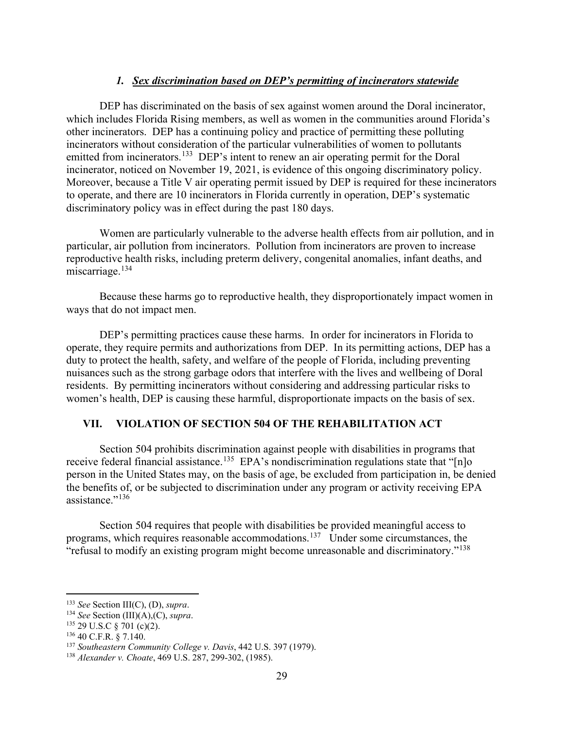## *1. Sex discrimination based on DEP's permitting of incinerators statewide*

DEP has discriminated on the basis of sex against women around the Doral incinerator, which includes Florida Rising members, as well as women in the communities around Florida's other incinerators. DEP has a continuing policy and practice of permitting these polluting incinerators without consideration of the particular vulnerabilities of women to pollutants emitted from incinerators.<sup>133</sup> DEP's intent to renew an air operating permit for the Doral incinerator, noticed on November 19, 2021, is evidence of this ongoing discriminatory policy. Moreover, because a Title V air operating permit issued by DEP is required for these incinerators to operate, and there are 10 incinerators in Florida currently in operation, DEP's systematic discriminatory policy was in effect during the past 180 days.

Women are particularly vulnerable to the adverse health effects from air pollution, and in particular, air pollution from incinerators. Pollution from incinerators are proven to increase reproductive health risks, including preterm delivery, congenital anomalies, infant deaths, and miscarriage.<sup>134</sup>

Because these harms go to reproductive health, they disproportionately impact women in ways that do not impact men.

DEP's permitting practices cause these harms. In order for incinerators in Florida to operate, they require permits and authorizations from DEP. In its permitting actions, DEP has a duty to protect the health, safety, and welfare of the people of Florida, including preventing nuisances such as the strong garbage odors that interfere with the lives and wellbeing of Doral residents. By permitting incinerators without considering and addressing particular risks to women's health, DEP is causing these harmful, disproportionate impacts on the basis of sex.

### **VII. VIOLATION OF SECTION 504 OF THE REHABILITATION ACT**

Section 504 prohibits discrimination against people with disabilities in programs that receive federal financial assistance.<sup>[135](#page-28-2)</sup> EPA's nondiscrimination regulations state that "[n]o person in the United States may, on the basis of age, be excluded from participation in, be denied the benefits of, or be subjected to discrimination under any program or activity receiving EPA assistance." $^{136}$ 

Section 504 requires that people with disabilities be provided meaningful access to programs, which requires reasonable accommodations.[137](#page-28-4) Under some circumstances, the "refusal to modify an existing program might become unreasonable and discriminatory."[138](#page-28-5)

<span id="page-28-0"></span><sup>133</sup> *See* Section III(C), (D), *supra*. 134 *See* Section (III)(A),(C), *supra*.

<span id="page-28-2"></span><span id="page-28-1"></span><sup>135</sup> 29 U.S.C § 701 (c)(2). 136 40 C.F.R. § 7.140.

<span id="page-28-3"></span>

<span id="page-28-4"></span><sup>137</sup> *Southeastern Community College v. Davis*, 442 U.S. 397 (1979).

<span id="page-28-5"></span><sup>138</sup> *Alexander v. Choate*, 469 U.S. 287, 299-302, (1985).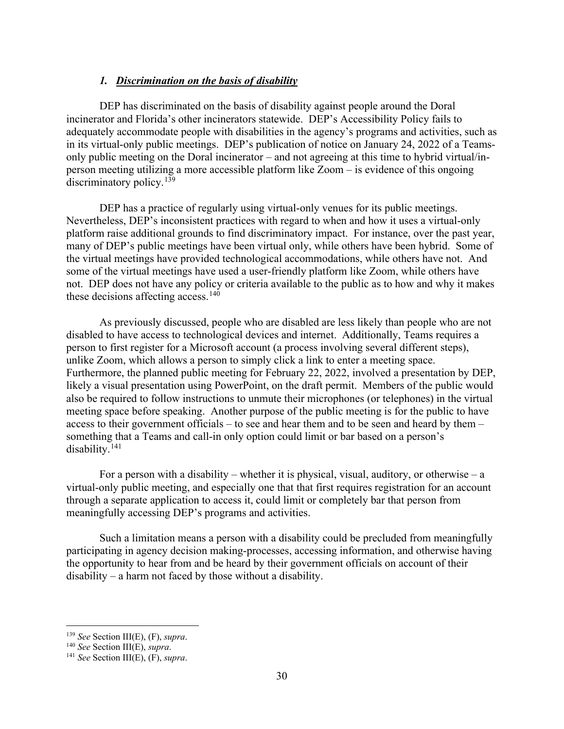### *1. Discrimination on the basis of disability*

DEP has discriminated on the basis of disability against people around the Doral incinerator and Florida's other incinerators statewide. DEP's Accessibility Policy fails to adequately accommodate people with disabilities in the agency's programs and activities, such as in its virtual-only public meetings. DEP's publication of notice on January 24, 2022 of a Teamsonly public meeting on the Doral incinerator – and not agreeing at this time to hybrid virtual/inperson meeting utilizing a more accessible platform like Zoom – is evidence of this ongoing discriminatory policy.<sup>139</sup>

DEP has a practice of regularly using virtual-only venues for its public meetings. Nevertheless, DEP's inconsistent practices with regard to when and how it uses a virtual-only platform raise additional grounds to find discriminatory impact. For instance, over the past year, many of DEP's public meetings have been virtual only, while others have been hybrid. Some of the virtual meetings have provided technological accommodations, while others have not. And some of the virtual meetings have used a user-friendly platform like Zoom, while others have not. DEP does not have any policy or criteria available to the public as to how and why it makes these decisions affecting access.<sup>[140](#page-29-1)</sup>

As previously discussed, people who are disabled are less likely than people who are not disabled to have access to technological devices and internet. Additionally, Teams requires a person to first register for a Microsoft account (a process involving several different steps), unlike Zoom, which allows a person to simply click a link to enter a meeting space. Furthermore, the planned public meeting for February 22, 2022, involved a presentation by DEP, likely a visual presentation using PowerPoint, on the draft permit. Members of the public would also be required to follow instructions to unmute their microphones (or telephones) in the virtual meeting space before speaking. Another purpose of the public meeting is for the public to have access to their government officials – to see and hear them and to be seen and heard by them – something that a Teams and call-in only option could limit or bar based on a person's disability.<sup>[141](#page-29-2)</sup>

For a person with a disability – whether it is physical, visual, auditory, or otherwise – a virtual-only public meeting, and especially one that that first requires registration for an account through a separate application to access it, could limit or completely bar that person from meaningfully accessing DEP's programs and activities.

Such a limitation means a person with a disability could be precluded from meaningfully participating in agency decision making-processes, accessing information, and otherwise having the opportunity to hear from and be heard by their government officials on account of their disability – a harm not faced by those without a disability.

<span id="page-29-0"></span><sup>139</sup> *See* Section III(E), (F), *supra*.

<span id="page-29-1"></span><sup>140</sup> *See* Section III(E), *supra*.

<span id="page-29-2"></span><sup>141</sup> *See* Section III(E), (F), *supra*.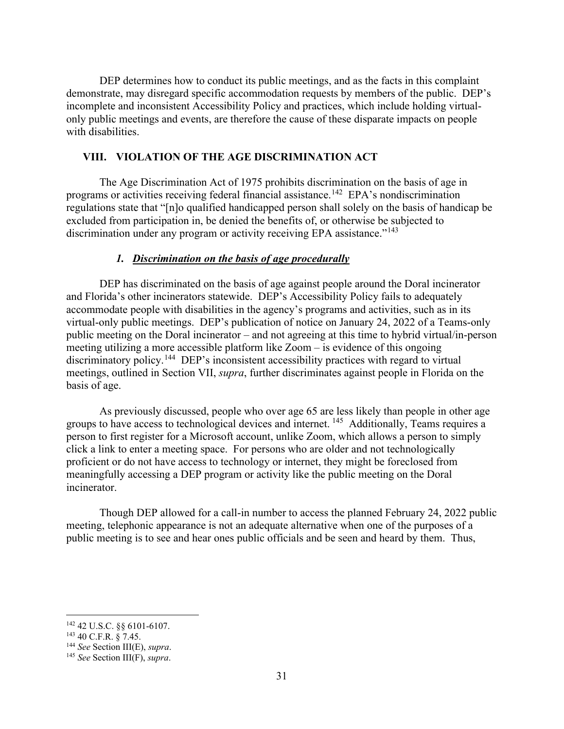DEP determines how to conduct its public meetings, and as the facts in this complaint demonstrate, may disregard specific accommodation requests by members of the public. DEP's incomplete and inconsistent Accessibility Policy and practices, which include holding virtualonly public meetings and events, are therefore the cause of these disparate impacts on people with disabilities.

## **VIII. VIOLATION OF THE AGE DISCRIMINATION ACT**

The Age Discrimination Act of 1975 prohibits discrimination on the basis of age in programs or activities receiving federal financial assistance.<sup>[142](#page-30-0)</sup> EPA's nondiscrimination regulations state that "[n]o qualified handicapped person shall solely on the basis of handicap be excluded from participation in, be denied the benefits of, or otherwise be subjected to discrimination under any program or activity receiving EPA assistance."<sup>143</sup>

### *1. Discrimination on the basis of age procedurally*

DEP has discriminated on the basis of age against people around the Doral incinerator and Florida's other incinerators statewide. DEP's Accessibility Policy fails to adequately accommodate people with disabilities in the agency's programs and activities, such as in its virtual-only public meetings. DEP's publication of notice on January 24, 2022 of a Teams-only public meeting on the Doral incinerator – and not agreeing at this time to hybrid virtual/in-person meeting utilizing a more accessible platform like Zoom – is evidence of this ongoing discriminatory policy.<sup>144</sup> DEP's inconsistent accessibility practices with regard to virtual meetings, outlined in Section VII, *supra*, further discriminates against people in Florida on the basis of age.

As previously discussed, people who over age 65 are less likely than people in other age groups to have access to technological devices and internet. <sup>145</sup> Additionally, Teams requires a person to first register for a Microsoft account, unlike Zoom, which allows a person to simply click a link to enter a meeting space. For persons who are older and not technologically proficient or do not have access to technology or internet, they might be foreclosed from meaningfully accessing a DEP program or activity like the public meeting on the Doral incinerator.

Though DEP allowed for a call-in number to access the planned February 24, 2022 public meeting, telephonic appearance is not an adequate alternative when one of the purposes of a public meeting is to see and hear ones public officials and be seen and heard by them. Thus,

<span id="page-30-0"></span><sup>142</sup> 42 U.S.C. §§ 6101-6107.

<span id="page-30-1"></span> $143$  40 C.F.R.  $\frac{8}{9}$  7.45.

<span id="page-30-2"></span><sup>144</sup> *See* Section III(E), *supra*.

<span id="page-30-3"></span><sup>145</sup> *See* Section III(F), *supra*.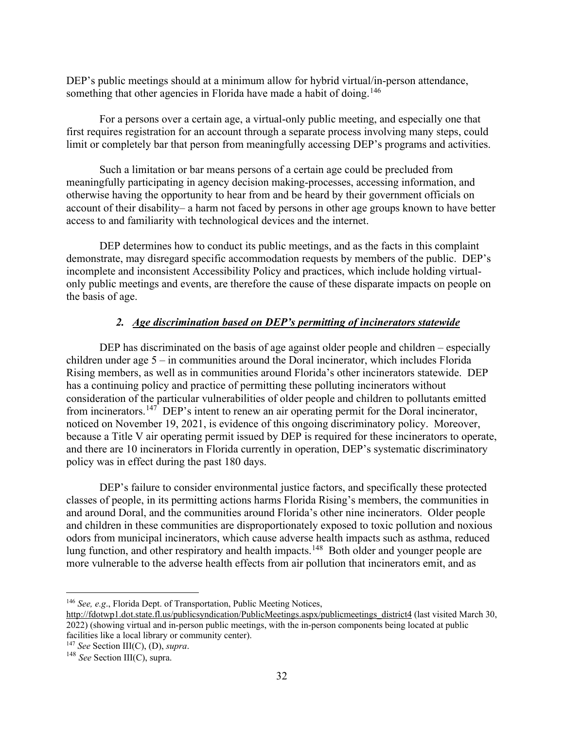DEP's public meetings should at a minimum allow for hybrid virtual/in-person attendance, something that other agencies in Florida have made a habit of doing.<sup>146</sup>

For a persons over a certain age, a virtual-only public meeting, and especially one that first requires registration for an account through a separate process involving many steps, could limit or completely bar that person from meaningfully accessing DEP's programs and activities.

Such a limitation or bar means persons of a certain age could be precluded from meaningfully participating in agency decision making-processes, accessing information, and otherwise having the opportunity to hear from and be heard by their government officials on account of their disability– a harm not faced by persons in other age groups known to have better access to and familiarity with technological devices and the internet.

DEP determines how to conduct its public meetings, and as the facts in this complaint demonstrate, may disregard specific accommodation requests by members of the public. DEP's incomplete and inconsistent Accessibility Policy and practices, which include holding virtualonly public meetings and events, are therefore the cause of these disparate impacts on people on the basis of age.

## *2. Age discrimination based on DEP's permitting of incinerators statewide*

DEP has discriminated on the basis of age against older people and children – especially children under age 5 – in communities around the Doral incinerator, which includes Florida Rising members, as well as in communities around Florida's other incinerators statewide. DEP has a continuing policy and practice of permitting these polluting incinerators without consideration of the particular vulnerabilities of older people and children to pollutants emitted from incinerators.<sup>147</sup> DEP's intent to renew an air operating permit for the Doral incinerator, noticed on November 19, 2021, is evidence of this ongoing discriminatory policy. Moreover, because a Title V air operating permit issued by DEP is required for these incinerators to operate, and there are 10 incinerators in Florida currently in operation, DEP's systematic discriminatory policy was in effect during the past 180 days.

DEP's failure to consider environmental justice factors, and specifically these protected classes of people, in its permitting actions harms Florida Rising's members, the communities in and around Doral, and the communities around Florida's other nine incinerators. Older people and children in these communities are disproportionately exposed to toxic pollution and noxious odors from municipal incinerators, which cause adverse health impacts such as asthma, reduced lung function, and other respiratory and health impacts.<sup>148</sup> Both older and younger people are more vulnerable to the adverse health effects from air pollution that incinerators emit, and as

<span id="page-31-0"></span><sup>146</sup> *See, e.g*., Florida Dept. of Transportation, Public Meeting Notices,

[http://fdotwp1.dot.state.fl.us/publicsyndication/PublicMeetings.aspx/publicmeetings\\_district4](http://fdotwp1.dot.state.fl.us/publicsyndication/PublicMeetings.aspx/publicmeetings_district4) (last visited March 30, 2022) (showing virtual and in-person public meetings, with the in-person components being located at public facilities like a local library or community center).<br> $^{147}$  See Section III(C), (D), supra.

<span id="page-31-1"></span>

<span id="page-31-2"></span><sup>&</sup>lt;sup>148</sup> See Section III(C), supra.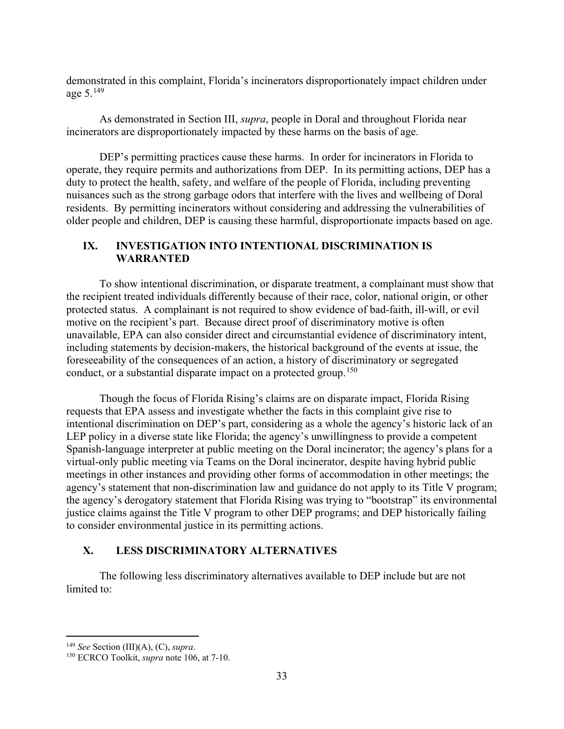demonstrated in this complaint, Florida's incinerators disproportionately impact children under age 5.[149](#page-32-0)

As demonstrated in Section III, *supra*, people in Doral and throughout Florida near incinerators are disproportionately impacted by these harms on the basis of age.

DEP's permitting practices cause these harms. In order for incinerators in Florida to operate, they require permits and authorizations from DEP. In its permitting actions, DEP has a duty to protect the health, safety, and welfare of the people of Florida, including preventing nuisances such as the strong garbage odors that interfere with the lives and wellbeing of Doral residents. By permitting incinerators without considering and addressing the vulnerabilities of older people and children, DEP is causing these harmful, disproportionate impacts based on age.

## **IX. INVESTIGATION INTO INTENTIONAL DISCRIMINATION IS WARRANTED**

To show intentional discrimination, or disparate treatment, a complainant must show that the recipient treated individuals differently because of their race, color, national origin, or other protected status. A complainant is not required to show evidence of bad-faith, ill-will, or evil motive on the recipient's part. Because direct proof of discriminatory motive is often unavailable, EPA can also consider direct and circumstantial evidence of discriminatory intent, including statements by decision-makers, the historical background of the events at issue, the foreseeability of the consequences of an action, a history of discriminatory or segregated conduct, or a substantial disparate impact on a protected group.<sup>[150](#page-32-1)</sup>

Though the focus of Florida Rising's claims are on disparate impact, Florida Rising requests that EPA assess and investigate whether the facts in this complaint give rise to intentional discrimination on DEP's part, considering as a whole the agency's historic lack of an LEP policy in a diverse state like Florida; the agency's unwillingness to provide a competent Spanish-language interpreter at public meeting on the Doral incinerator; the agency's plans for a virtual-only public meeting via Teams on the Doral incinerator, despite having hybrid public meetings in other instances and providing other forms of accommodation in other meetings; the agency's statement that non-discrimination law and guidance do not apply to its Title V program; the agency's derogatory statement that Florida Rising was trying to "bootstrap" its environmental justice claims against the Title V program to other DEP programs; and DEP historically failing to consider environmental justice in its permitting actions.

# **X. LESS DISCRIMINATORY ALTERNATIVES**

The following less discriminatory alternatives available to DEP include but are not limited to:

<span id="page-32-1"></span><span id="page-32-0"></span><sup>149</sup> *See* Section (III)(A), (C), *supra*. 150 ECRCO Toolkit, *supra* note 106, at 7-10.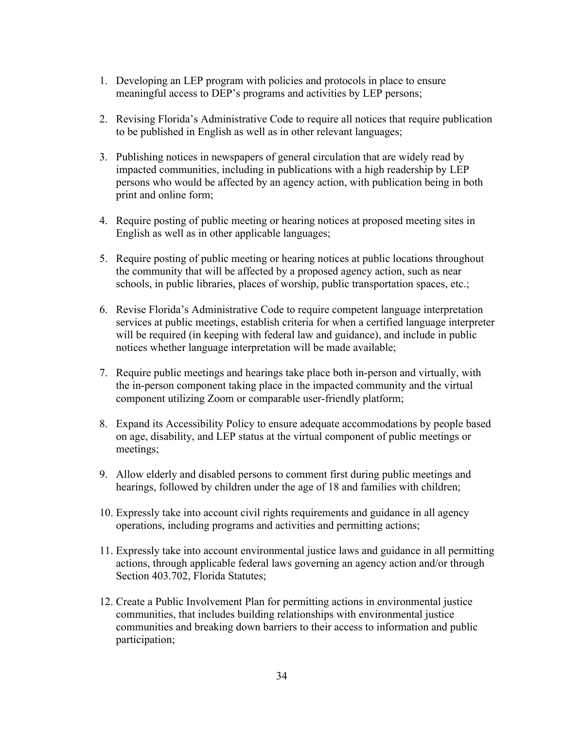- 1. Developing an LEP program with policies and protocols in place to ensure meaningful access to DEP's programs and activities by LEP persons;
- 2. Revising Florida's Administrative Code to require all notices that require publication to be published in English as well as in other relevant languages;
- 3. Publishing notices in newspapers of general circulation that are widely read by impacted communities, including in publications with a high readership by LEP persons who would be affected by an agency action, with publication being in both print and online form;
- 4. Require posting of public meeting or hearing notices at proposed meeting sites in English as well as in other applicable languages;
- 5. Require posting of public meeting or hearing notices at public locations throughout the community that will be affected by a proposed agency action, such as near schools, in public libraries, places of worship, public transportation spaces, etc.;
- 6. Revise Florida's Administrative Code to require competent language interpretation services at public meetings, establish criteria for when a certified language interpreter will be required (in keeping with federal law and guidance), and include in public notices whether language interpretation will be made available;
- 7. Require public meetings and hearings take place both in-person and virtually, with the in-person component taking place in the impacted community and the virtual component utilizing Zoom or comparable user-friendly platform;
- 8. Expand its Accessibility Policy to ensure adequate accommodations by people based on age, disability, and LEP status at the virtual component of public meetings or meetings;
- 9. Allow elderly and disabled persons to comment first during public meetings and hearings, followed by children under the age of 18 and families with children;
- 10. Expressly take into account civil rights requirements and guidance in all agency operations, including programs and activities and permitting actions;
- 11. Expressly take into account environmental justice laws and guidance in all permitting actions, through applicable federal laws governing an agency action and/or through Section 403.702, Florida Statutes;
- 12. Create a Public Involvement Plan for permitting actions in environmental justice communities, that includes building relationships with environmental justice communities and breaking down barriers to their access to information and public participation;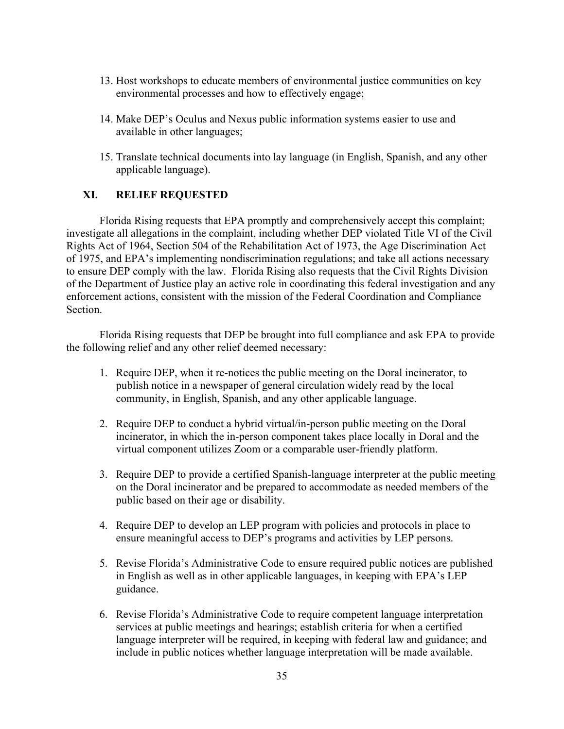- 13. Host workshops to educate members of environmental justice communities on key environmental processes and how to effectively engage;
- 14. Make DEP's Oculus and Nexus public information systems easier to use and available in other languages;
- 15. Translate technical documents into lay language (in English, Spanish, and any other applicable language).

# **XI. RELIEF REQUESTED**

Florida Rising requests that EPA promptly and comprehensively accept this complaint; investigate all allegations in the complaint, including whether DEP violated Title VI of the Civil Rights Act of 1964, Section 504 of the Rehabilitation Act of 1973, the Age Discrimination Act of 1975, and EPA's implementing nondiscrimination regulations; and take all actions necessary to ensure DEP comply with the law. Florida Rising also requests that the Civil Rights Division of the Department of Justice play an active role in coordinating this federal investigation and any enforcement actions, consistent with the mission of the Federal Coordination and Compliance Section.

Florida Rising requests that DEP be brought into full compliance and ask EPA to provide the following relief and any other relief deemed necessary:

- 1. Require DEP, when it re-notices the public meeting on the Doral incinerator, to publish notice in a newspaper of general circulation widely read by the local community, in English, Spanish, and any other applicable language.
- 2. Require DEP to conduct a hybrid virtual/in-person public meeting on the Doral incinerator, in which the in-person component takes place locally in Doral and the virtual component utilizes Zoom or a comparable user-friendly platform.
- 3. Require DEP to provide a certified Spanish-language interpreter at the public meeting on the Doral incinerator and be prepared to accommodate as needed members of the public based on their age or disability.
- 4. Require DEP to develop an LEP program with policies and protocols in place to ensure meaningful access to DEP's programs and activities by LEP persons.
- 5. Revise Florida's Administrative Code to ensure required public notices are published in English as well as in other applicable languages, in keeping with EPA's LEP guidance.
- 6. Revise Florida's Administrative Code to require competent language interpretation services at public meetings and hearings; establish criteria for when a certified language interpreter will be required, in keeping with federal law and guidance; and include in public notices whether language interpretation will be made available.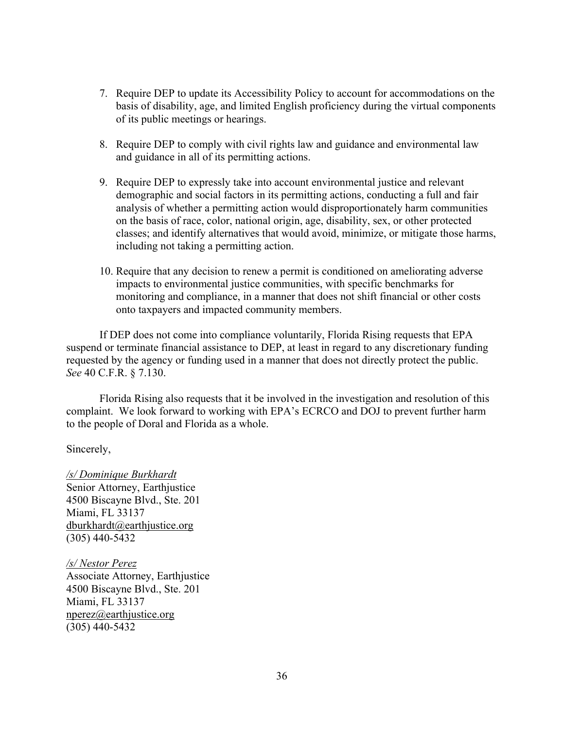- 7. Require DEP to update its Accessibility Policy to account for accommodations on the basis of disability, age, and limited English proficiency during the virtual components of its public meetings or hearings.
- 8. Require DEP to comply with civil rights law and guidance and environmental law and guidance in all of its permitting actions.
- 9. Require DEP to expressly take into account environmental justice and relevant demographic and social factors in its permitting actions, conducting a full and fair analysis of whether a permitting action would disproportionately harm communities on the basis of race, color, national origin, age, disability, sex, or other protected classes; and identify alternatives that would avoid, minimize, or mitigate those harms, including not taking a permitting action.
- 10. Require that any decision to renew a permit is conditioned on ameliorating adverse impacts to environmental justice communities, with specific benchmarks for monitoring and compliance, in a manner that does not shift financial or other costs onto taxpayers and impacted community members.

If DEP does not come into compliance voluntarily, Florida Rising requests that EPA suspend or terminate financial assistance to DEP, at least in regard to any discretionary funding requested by the agency or funding used in a manner that does not directly protect the public. *See* 40 C.F.R. § 7.130.

Florida Rising also requests that it be involved in the investigation and resolution of this complaint. We look forward to working with EPA's ECRCO and DOJ to prevent further harm to the people of Doral and Florida as a whole.

Sincerely,

*/s/ Dominique Burkhardt* Senior Attorney, Earthjustice 4500 Biscayne Blvd., Ste. 201 Miami, FL 33137 [dburkhardt@earthjustice.org](mailto:dburkhardt@earthjustice.org) (305) 440-5432

*/s/ Nestor Perez* Associate Attorney, Earthjustice 4500 Biscayne Blvd., Ste. 201 Miami, FL 33137 [nperez@earthjustice.org](mailto:nperez@earthjustice.org) (305) 440-5432